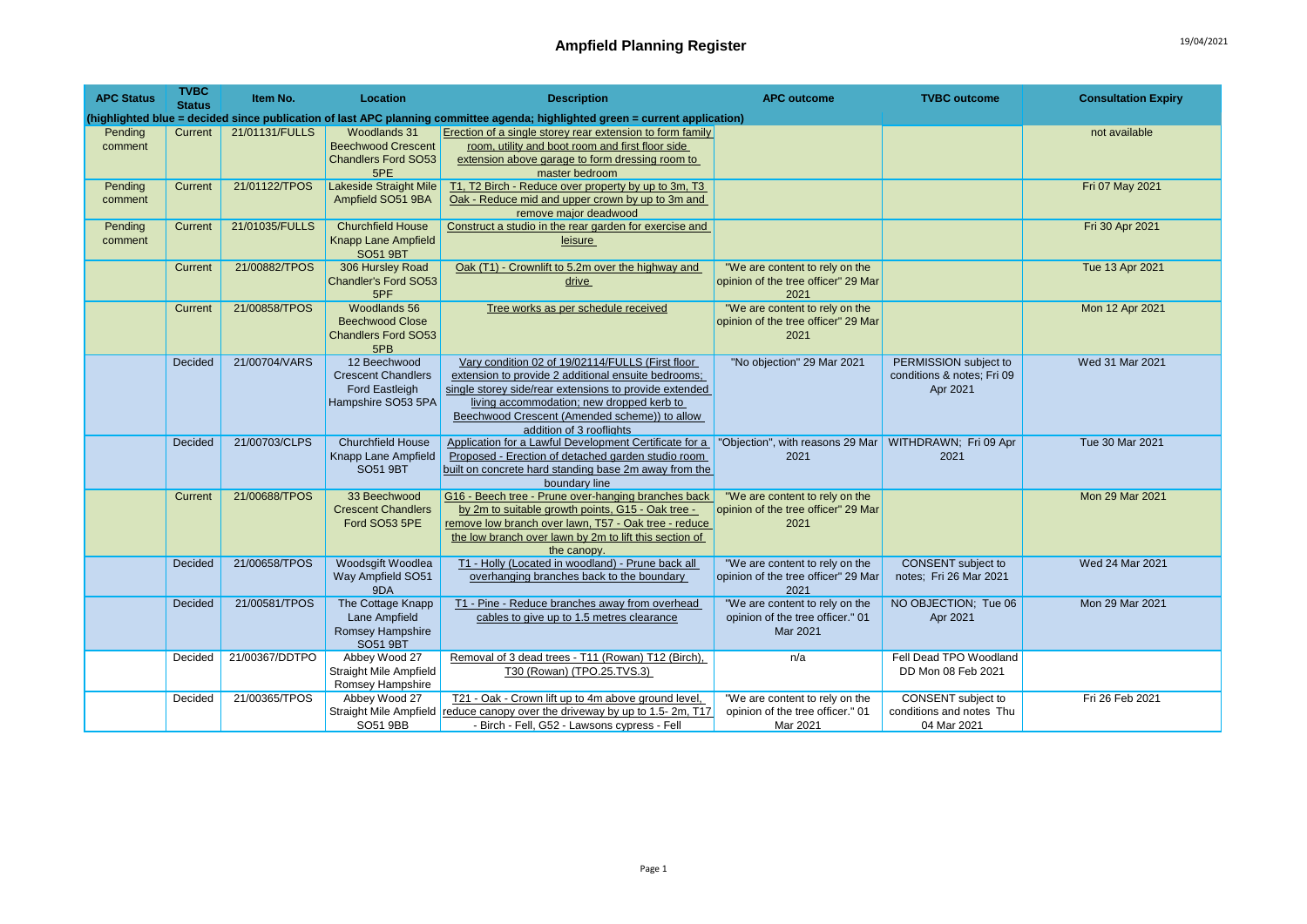| <b>APC Status</b>  | <b>TVBC</b><br><b>Status</b> | Item No.       | Location                                                                                 | <b>Description</b>                                                                                                                                                                                                                                                                          | <b>APC outcome</b>                                                             | <b>TVBC</b> outcome                                             | <b>Consultation Expiry</b> |
|--------------------|------------------------------|----------------|------------------------------------------------------------------------------------------|---------------------------------------------------------------------------------------------------------------------------------------------------------------------------------------------------------------------------------------------------------------------------------------------|--------------------------------------------------------------------------------|-----------------------------------------------------------------|----------------------------|
|                    |                              |                |                                                                                          | (highlighted blue = decided since publication of last APC planning committee agenda; highlighted green = current application)                                                                                                                                                               |                                                                                |                                                                 |                            |
| Pending<br>comment | Current                      | 21/01131/FULLS | Woodlands 31<br><b>Beechwood Crescent</b><br><b>Chandlers Ford SO53</b><br>5PE           | Erection of a single storey rear extension to form family<br>room, utility and boot room and first floor side<br>extension above garage to form dressing room to<br>master bedroom                                                                                                          |                                                                                |                                                                 | not available              |
| Pending<br>comment | Current                      | 21/01122/TPOS  | <b>Lakeside Straight Mile</b><br>Ampfield SO51 9BA                                       | T1, T2 Birch - Reduce over property by up to 3m, T3<br>Oak - Reduce mid and upper crown by up to 3m and<br>remove major deadwood                                                                                                                                                            |                                                                                |                                                                 | Fri 07 May 2021            |
| Pending<br>comment | Current                      | 21/01035/FULLS | <b>Churchfield House</b><br><b>Knapp Lane Ampfield</b><br><b>SO51 9BT</b>                | Construct a studio in the rear garden for exercise and<br>leisure                                                                                                                                                                                                                           |                                                                                |                                                                 | Fri 30 Apr 2021            |
|                    | Current                      | 21/00882/TPOS  | 306 Hursley Road<br>Chandler's Ford SO53<br>5PF                                          | Oak (T1) - Crownlift to 5.2m over the highway and<br>drive                                                                                                                                                                                                                                  | "We are content to rely on the<br>opinion of the tree officer" 29 Mar<br>2021  |                                                                 | Tue 13 Apr 2021            |
|                    | Current                      | 21/00858/TPOS  | Woodlands 56<br><b>Beechwood Close</b><br><b>Chandlers Ford SO53</b><br>5PB              | Tree works as per schedule received                                                                                                                                                                                                                                                         | "We are content to rely on the<br>opinion of the tree officer" 29 Mar<br>2021  |                                                                 | Mon 12 Apr 2021            |
|                    | Decided                      | 21/00704/VARS  | 12 Beechwood<br><b>Crescent Chandlers</b><br><b>Ford Eastleigh</b><br>Hampshire SO53 5PA | Vary condition 02 of 19/02114/FULLS (First floor<br>extension to provide 2 additional ensuite bedrooms;<br>single storey side/rear extensions to provide extended<br>living accommodation; new dropped kerb to<br>Beechwood Crescent (Amended scheme)) to allow<br>addition of 3 rooflights | "No objection" 29 Mar 2021                                                     | PERMISSION subject to<br>conditions & notes; Fri 09<br>Apr 2021 | Wed 31 Mar 2021            |
|                    | Decided                      | 21/00703/CLPS  | <b>Churchfield House</b><br>Knapp Lane Ampfield<br><b>SO51 9BT</b>                       | Application for a Lawful Development Certificate for a<br>Proposed - Erection of detached garden studio room<br>built on concrete hard standing base 2m away from the<br>boundary line                                                                                                      | "Objection", with reasons 29 Mar   WITHDRAWN; Fri 09 Apr<br>2021               | 2021                                                            | Tue 30 Mar 2021            |
|                    | Current                      | 21/00688/TPOS  | 33 Beechwood<br><b>Crescent Chandlers</b><br>Ford SO53 5PE                               | G16 - Beech tree - Prune over-hanging branches back<br>by 2m to suitable growth points, G15 - Oak tree -<br>remove low branch over lawn, T57 - Oak tree - reduce<br>the low branch over lawn by 2m to lift this section of<br>the canopy.                                                   | "We are content to rely on the<br>opinion of the tree officer" 29 Mar<br>2021  |                                                                 | Mon 29 Mar 2021            |
|                    | <b>Decided</b>               | 21/00658/TPOS  | Woodsgift Woodlea<br>Way Ampfield SO51<br>9DA                                            | T1 - Holly (Located in woodland) - Prune back all<br>overhanging branches back to the boundary                                                                                                                                                                                              | "We are content to rely on the<br>opinion of the tree officer" 29 Mar<br>2021  | <b>CONSENT</b> subject to<br>notes; Fri 26 Mar 2021             | Wed 24 Mar 2021            |
|                    | Decided                      | 21/00581/TPOS  | The Cottage Knapp<br>Lane Ampfield<br>Romsey Hampshire<br><b>SO51 9BT</b>                | T1 - Pine - Reduce branches away from overhead<br>cables to give up to 1.5 metres clearance                                                                                                                                                                                                 | "We are content to rely on the<br>opinion of the tree officer." 01<br>Mar 2021 | NO OBJECTION; Tue 06<br>Apr 2021                                | Mon 29 Mar 2021            |
|                    | Decided                      | 21/00367/DDTPO | Abbey Wood 27<br><b>Straight Mile Ampfield</b><br>Romsey Hampshire                       | Removal of 3 dead trees - T11 (Rowan) T12 (Birch),<br>T30 (Rowan) (TPO.25.TVS.3)                                                                                                                                                                                                            | n/a                                                                            | Fell Dead TPO Woodland<br>DD Mon 08 Feb 2021                    |                            |
|                    | Decided                      | 21/00365/TPOS  | Abbey Wood 27<br>SO51 9BB                                                                | T21 - Oak - Crown lift up to 4m above ground level,<br>Straight Mile Ampfield reduce canopy over the driveway by up to 1.5-2m, T17<br>- Birch - Fell, G52 - Lawsons cypress - Fell                                                                                                          | "We are content to rely on the<br>opinion of the tree officer." 01<br>Mar 2021 | CONSENT subject to<br>conditions and notes Thu<br>04 Mar 2021   | Fri 26 Feb 2021            |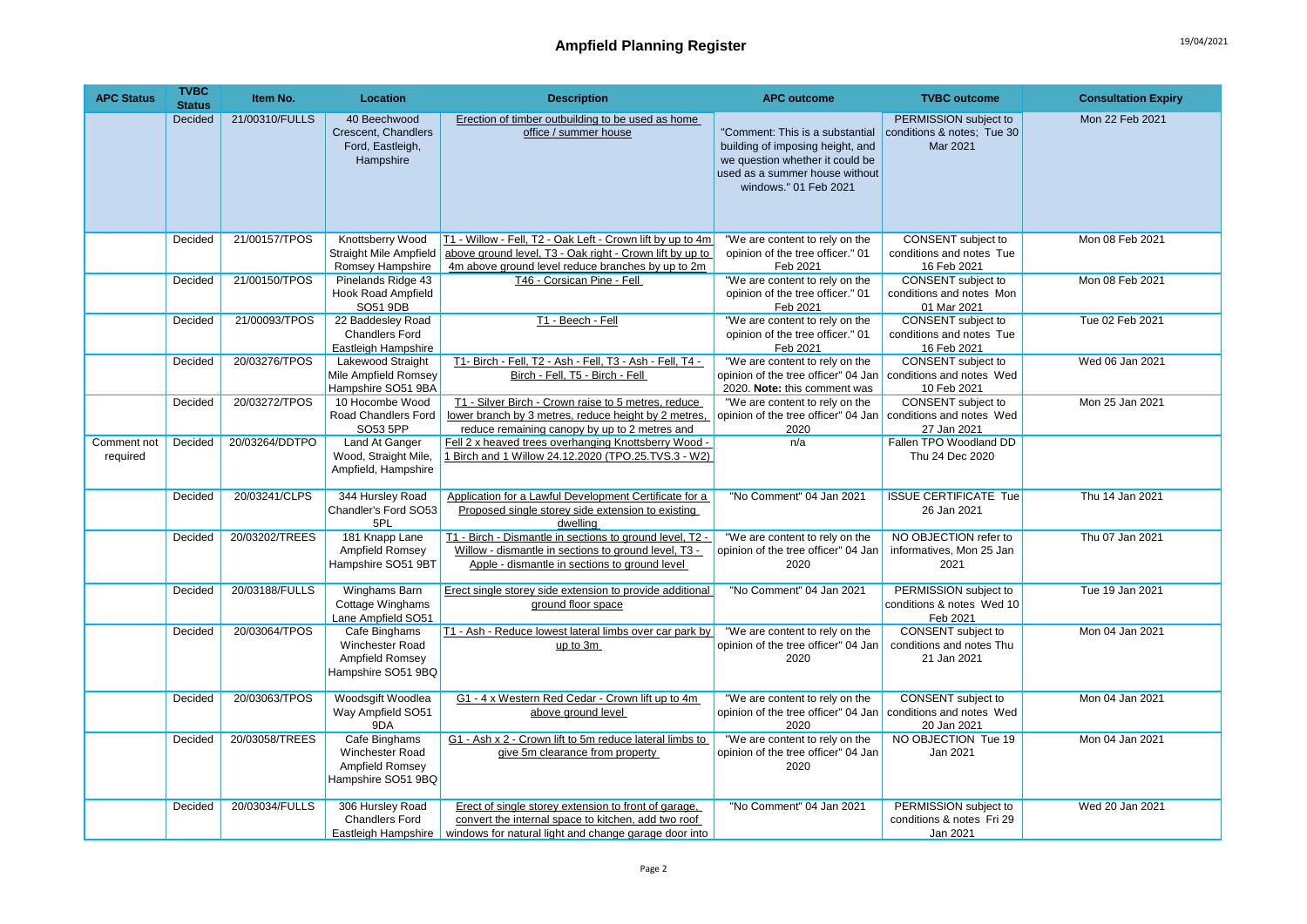| <b>APC Status</b>       | <b>TVBC</b><br><b>Status</b> | Item No.       | <b>Location</b>                                                           | <b>Description</b>                                                                                                                                                          | <b>APC outcome</b>                                                                                                                                                | <b>TVBC</b> outcome                                                  | <b>Consultation Expiry</b> |
|-------------------------|------------------------------|----------------|---------------------------------------------------------------------------|-----------------------------------------------------------------------------------------------------------------------------------------------------------------------------|-------------------------------------------------------------------------------------------------------------------------------------------------------------------|----------------------------------------------------------------------|----------------------------|
|                         | Decided                      | 21/00310/FULLS | 40 Beechwood<br>Crescent, Chandlers<br>Ford, Eastleigh,<br>Hampshire      | Erection of timber outbuilding to be used as home<br>office / summer house                                                                                                  | "Comment: This is a substantial<br>building of imposing height, and<br>we question whether it could be<br>used as a summer house without<br>windows." 01 Feb 2021 | PERMISSION subject to<br>conditions & notes; Tue 30<br>Mar 2021      | Mon 22 Feb 2021            |
|                         | Decided                      | 21/00157/TPOS  | Knottsberry Wood<br><b>Straight Mile Ampfield</b><br>Romsey Hampshire     | T1 - Willow - Fell, T2 - Oak Left - Crown lift by up to 4m<br>above ground level, T3 - Oak right - Crown lift by up to<br>4m above ground level reduce branches by up to 2m | "We are content to rely on the<br>opinion of the tree officer." 01<br>Feb 2021                                                                                    | CONSENT subject to<br>conditions and notes Tue<br>16 Feb 2021        | Mon 08 Feb 2021            |
|                         | Decided                      | 21/00150/TPOS  | Pinelands Ridge 43<br>Hook Road Ampfield<br>SO51 9DB                      | T46 - Corsican Pine - Fell                                                                                                                                                  | "We are content to rely on the<br>opinion of the tree officer." 01<br>Feb 2021                                                                                    | CONSENT subject to<br>conditions and notes Mon<br>01 Mar 2021        | Mon 08 Feb 2021            |
|                         | Decided                      | 21/00093/TPOS  | 22 Baddesley Road<br><b>Chandlers Ford</b><br>Eastleigh Hampshire         | T1 - Beech - Fell                                                                                                                                                           | "We are content to rely on the<br>opinion of the tree officer." 01<br>Feb 2021                                                                                    | CONSENT subject to<br>conditions and notes Tue<br>16 Feb 2021        | Tue 02 Feb 2021            |
|                         | Decided                      | 20/03276/TPOS  | <b>Lakewood Straight</b><br>Mile Ampfield Romsey<br>Hampshire SO51 9BA    | T1- Birch - Fell, T2 - Ash - Fell, T3 - Ash - Fell, T4 -<br>Birch - Fell, T5 - Birch - Fell                                                                                 | "We are content to rely on the<br>opinion of the tree officer" 04 Jan<br>2020. Note: this comment was                                                             | CONSENT subject to<br>conditions and notes Wed<br>10 Feb 2021        | Wed 06 Jan 2021            |
|                         | Decided                      | 20/03272/TPOS  | 10 Hocombe Wood<br>Road Chandlers Ford<br>SO53 5PP                        | T1 - Silver Birch - Crown raise to 5 metres, reduce<br>lower branch by 3 metres, reduce height by 2 metres,<br>reduce remaining canopy by up to 2 metres and                | "We are content to rely on the<br>opinion of the tree officer" 04 Jan<br>2020                                                                                     | CONSENT subject to<br>conditions and notes Wed<br>27 Jan 2021        | Mon 25 Jan 2021            |
| Comment not<br>required | Decided                      | 20/03264/DDTPO | Land At Ganger<br>Wood, Straight Mile,<br>Ampfield, Hampshire             | Fell 2 x heaved trees overhanging Knottsberry Wood -<br>1 Birch and 1 Willow 24.12.2020 (TPO.25.TVS.3 - W2)                                                                 | n/a                                                                                                                                                               | Fallen TPO Woodland DD<br>Thu 24 Dec 2020                            |                            |
|                         | Decided                      | 20/03241/CLPS  | 344 Hursley Road<br>Chandler's Ford SO53<br>5PL                           | Application for a Lawful Development Certificate for a<br>Proposed single storey side extension to existing<br>dwelling                                                     | "No Comment" 04 Jan 2021                                                                                                                                          | <b>ISSUE CERTIFICATE Tue</b><br>26 Jan 2021                          | Thu 14 Jan 2021            |
|                         | Decided                      | 20/03202/TREES | 181 Knapp Lane<br>Ampfield Romsey<br>Hampshire SO51 9BT                   | T1 - Birch - Dismantle in sections to ground level, T2 -<br>Willow - dismantle in sections to ground level, T3 -<br>Apple - dismantle in sections to ground level           | "We are content to rely on the<br>opinion of the tree officer" 04 Jan<br>2020                                                                                     | NO OBJECTION refer to<br>informatives, Mon 25 Jan<br>2021            | Thu 07 Jan 2021            |
|                         | Decided                      | 20/03188/FULLS | Winghams Barn<br>Cottage Winghams<br>Lane Ampfield SO51                   | Erect single storey side extension to provide additional<br>ground floor space                                                                                              | "No Comment" 04 Jan 2021                                                                                                                                          | PERMISSION subject to<br>conditions & notes Wed 10<br>Feb 2021       | Tue 19 Jan 2021            |
|                         | Decided                      | 20/03064/TPOS  | Cafe Binghams<br>Winchester Road<br>Ampfield Romsey<br>Hampshire SO51 9BQ | T1 - Ash - Reduce lowest lateral limbs over car park by<br>up to 3m                                                                                                         | "We are content to rely on the<br>opinion of the tree officer" 04 Jan<br>2020                                                                                     | <b>CONSENT</b> subject to<br>conditions and notes Thu<br>21 Jan 2021 | Mon 04 Jan 2021            |
|                         | Decided                      | 20/03063/TPOS  | Woodsgift Woodlea<br>Way Ampfield SO51<br>9DA                             | G1 - 4 x Western Red Cedar - Crown lift up to 4m<br>above ground level                                                                                                      | "We are content to rely on the<br>opinion of the tree officer" 04 Jan<br>2020                                                                                     | CONSENT subject to<br>conditions and notes Wed<br>20 Jan 2021        | Mon 04 Jan 2021            |
|                         | Decided                      | 20/03058/TREES | Cafe Binghams<br>Winchester Road<br>Ampfield Romsey<br>Hampshire SO51 9BQ | G1 - Ash x 2 - Crown lift to 5m reduce lateral limbs to<br>give 5m clearance from property                                                                                  | "We are content to rely on the<br>opinion of the tree officer" 04 Jan<br>2020                                                                                     | NO OBJECTION Tue 19<br>Jan 2021                                      | Mon 04 Jan 2021            |
|                         | Decided                      | 20/03034/FULLS | 306 Hursley Road<br><b>Chandlers Ford</b><br>Eastleigh Hampshire          | Erect of single storey extension to front of garage,<br>convert the internal space to kitchen, add two roof<br>windows for natural light and change garage door into        | "No Comment" 04 Jan 2021                                                                                                                                          | PERMISSION subject to<br>conditions & notes Fri 29<br>Jan 2021       | Wed 20 Jan 2021            |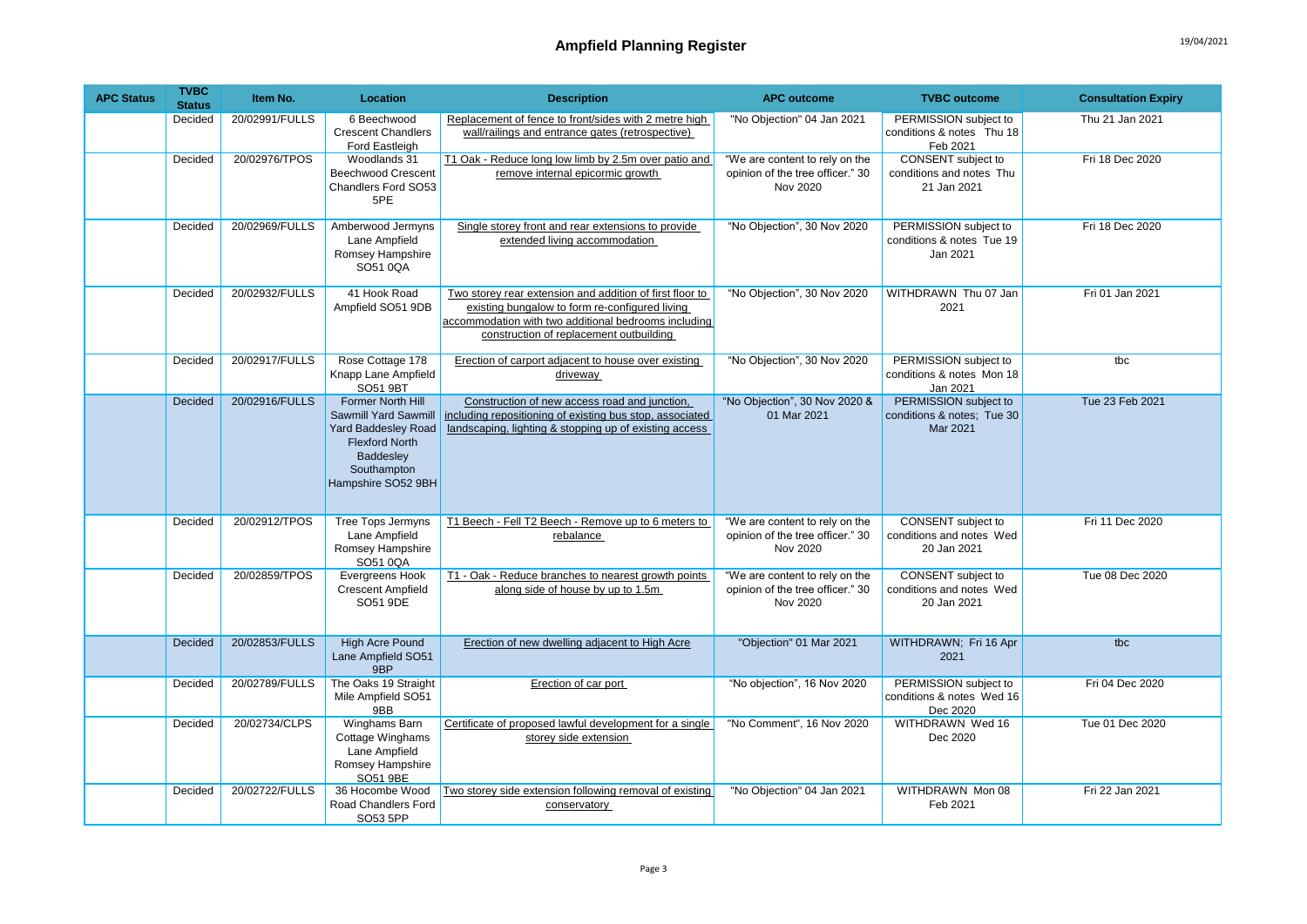| <b>APC Status</b> | <b>TVBC</b><br><b>Status</b> | Item No.       | <b>Location</b>                                                                                                                                    | <b>Description</b>                                                                                                                                                                                            | <b>APC outcome</b>                                                             | <b>TVBC</b> outcome                                             | <b>Consultation Expiry</b> |
|-------------------|------------------------------|----------------|----------------------------------------------------------------------------------------------------------------------------------------------------|---------------------------------------------------------------------------------------------------------------------------------------------------------------------------------------------------------------|--------------------------------------------------------------------------------|-----------------------------------------------------------------|----------------------------|
|                   | Decided                      | 20/02991/FULLS | 6 Beechwood<br><b>Crescent Chandlers</b><br>Ford Eastleigh                                                                                         | Replacement of fence to front/sides with 2 metre high<br>wall/railings and entrance gates (retrospective)                                                                                                     | "No Objection" 04 Jan 2021                                                     | PERMISSION subject to<br>conditions & notes Thu 18<br>Feb 2021  | Thu 21 Jan 2021            |
|                   | Decided                      | 20/02976/TPOS  | Woodlands 31<br><b>Beechwood Crescent</b><br>Chandlers Ford SO53<br>5PE                                                                            | T1 Oak - Reduce long low limb by 2.5m over patio and<br>remove internal epicormic growth                                                                                                                      | "We are content to rely on the<br>opinion of the tree officer." 30<br>Nov 2020 | CONSENT subject to<br>conditions and notes Thu<br>21 Jan 2021   | Fri 18 Dec 2020            |
|                   | Decided                      | 20/02969/FULLS | Amberwood Jermyns<br>Lane Ampfield<br>Romsey Hampshire<br>SO51 0QA                                                                                 | Single storey front and rear extensions to provide<br>extended living accommodation                                                                                                                           | "No Objection", 30 Nov 2020                                                    | PERMISSION subject to<br>conditions & notes Tue 19<br>Jan 2021  | Fri 18 Dec 2020            |
|                   | Decided                      | 20/02932/FULLS | 41 Hook Road<br>Ampfield SO51 9DB                                                                                                                  | Two storey rear extension and addition of first floor to<br>existing bungalow to form re-configured living<br>accommodation with two additional bedrooms including<br>construction of replacement outbuilding | "No Objection", 30 Nov 2020                                                    | WITHDRAWN Thu 07 Jan<br>2021                                    | Fri 01 Jan 2021            |
|                   | Decided                      | 20/02917/FULLS | Rose Cottage 178<br>Knapp Lane Ampfield<br>SO51 9BT                                                                                                | Erection of carport adjacent to house over existing<br>driveway                                                                                                                                               | "No Objection", 30 Nov 2020                                                    | PERMISSION subject to<br>conditions & notes Mon 18<br>Jan 2021  | tbc                        |
|                   | Decided                      | 20/02916/FULLS | Former North Hill<br>Sawmill Yard Sawmill<br><b>Yard Baddesley Road</b><br><b>Flexford North</b><br>Baddesley<br>Southampton<br>Hampshire SO52 9BH | Construction of new access road and junction,<br>including repositioning of existing bus stop, associated<br>landscaping, lighting & stopping up of existing access                                           | "No Objection", 30 Nov 2020 &<br>01 Mar 2021                                   | PERMISSION subject to<br>conditions & notes; Tue 30<br>Mar 2021 | Tue 23 Feb 2021            |
|                   | Decided                      | 20/02912/TPOS  | <b>Tree Tops Jermyns</b><br>Lane Ampfield<br>Romsey Hampshire<br>SO51 0QA                                                                          | T1 Beech - Fell T2 Beech - Remove up to 6 meters to<br>rebalance                                                                                                                                              | "We are content to rely on the<br>opinion of the tree officer." 30<br>Nov 2020 | CONSENT subject to<br>conditions and notes Wed<br>20 Jan 2021   | Fri 11 Dec 2020            |
|                   | Decided                      | 20/02859/TPOS  | Evergreens Hook<br><b>Crescent Ampfield</b><br>SO51 9DE                                                                                            | T1 - Oak - Reduce branches to nearest growth points<br>along side of house by up to 1.5m                                                                                                                      | "We are content to rely on the<br>opinion of the tree officer." 30<br>Nov 2020 | CONSENT subject to<br>conditions and notes Wed<br>20 Jan 2021   | Tue 08 Dec 2020            |
|                   | Decided                      | 20/02853/FULLS | High Acre Pound<br>Lane Ampfield SO51<br>9BP                                                                                                       | Erection of new dwelling adjacent to High Acre                                                                                                                                                                | "Objection" 01 Mar 2021                                                        | WITHDRAWN; Fri 16 Apr<br>2021                                   | tbc                        |
|                   | Decided                      | 20/02789/FULLS | The Oaks 19 Straight<br>Mile Ampfield SO51<br>9BB                                                                                                  | Erection of car port                                                                                                                                                                                          | "No objection", 16 Nov 2020                                                    | PERMISSION subject to<br>conditions & notes Wed 16<br>Dec 2020  | Fri 04 Dec 2020            |
|                   | Decided                      | 20/02734/CLPS  | Winghams Barn<br>Cottage Winghams<br>Lane Ampfield<br>Romsey Hampshire<br>SO51 9BE                                                                 | Certificate of proposed lawful development for a single<br>storey side extension                                                                                                                              | "No Comment", 16 Nov 2020                                                      | WITHDRAWN Wed 16<br>Dec 2020                                    | Tue 01 Dec 2020            |
|                   | Decided                      | 20/02722/FULLS | 36 Hocombe Wood<br>Road Chandlers Ford<br>SO53 5PP                                                                                                 | Two storey side extension following removal of existing<br>conservatory                                                                                                                                       | "No Objection" 04 Jan 2021                                                     | WITHDRAWN Mon 08<br>Feb 2021                                    | Fri 22 Jan 2021            |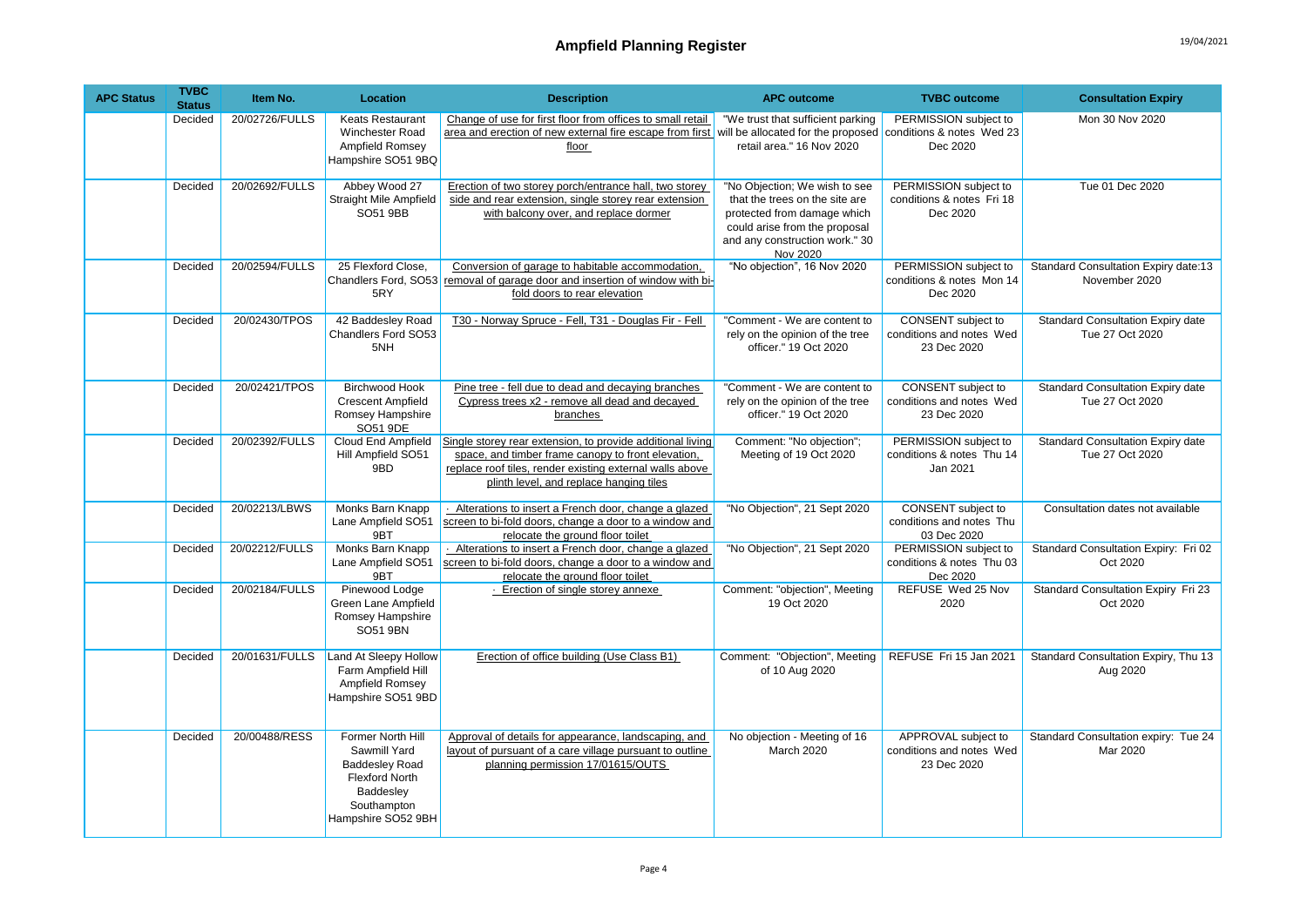| <b>APC Status</b> | <b>TVBC</b><br><b>Status</b> | Item No.       | <b>Location</b>                                                                                                                       | <b>Description</b>                                                                                                                                                                                                      | <b>APC outcome</b>                                                                                                                                                            | <b>TVBC</b> outcome                                                  | <b>Consultation Expiry</b>                            |
|-------------------|------------------------------|----------------|---------------------------------------------------------------------------------------------------------------------------------------|-------------------------------------------------------------------------------------------------------------------------------------------------------------------------------------------------------------------------|-------------------------------------------------------------------------------------------------------------------------------------------------------------------------------|----------------------------------------------------------------------|-------------------------------------------------------|
|                   | Decided                      | 20/02726/FULLS | <b>Keats Restaurant</b><br><b>Winchester Road</b><br>Ampfield Romsey<br>Hampshire SO51 9BQ                                            | Change of use for first floor from offices to small retail<br>area and erection of new external fire escape from first will be allocated for the proposed conditions & notes Wed 23<br>floor                            | "We trust that sufficient parking<br>retail area." 16 Nov 2020                                                                                                                | PERMISSION subject to<br>Dec 2020                                    | Mon 30 Nov 2020                                       |
|                   | Decided                      | 20/02692/FULLS | Abbey Wood 27<br><b>Straight Mile Ampfield</b><br>SO51 9BB                                                                            | Erection of two storey porch/entrance hall, two storey<br>side and rear extension, single storey rear extension<br>with balcony over, and replace dormer                                                                | "No Objection; We wish to see<br>that the trees on the site are<br>protected from damage which<br>could arise from the proposal<br>and any construction work." 30<br>Nov 2020 | PERMISSION subject to<br>conditions & notes Fri 18<br>Dec 2020       | Tue 01 Dec 2020                                       |
|                   | Decided                      | 20/02594/FULLS | 25 Flexford Close,<br>Chandlers Ford, SO53<br>5RY                                                                                     | Conversion of garage to habitable accommodation,<br>removal of garage door and insertion of window with bi-<br>fold doors to rear elevation                                                                             | "No objection", 16 Nov 2020                                                                                                                                                   | PERMISSION subject to<br>conditions & notes Mon 14<br>Dec 2020       | Standard Consultation Expiry date:13<br>November 2020 |
|                   | Decided                      | 20/02430/TPOS  | 42 Baddesley Road<br>Chandlers Ford SO53<br>5NH                                                                                       | T30 - Norway Spruce - Fell, T31 - Douglas Fir - Fell                                                                                                                                                                    | "Comment - We are content to<br>rely on the opinion of the tree<br>officer." 19 Oct 2020                                                                                      | CONSENT subject to<br>conditions and notes Wed<br>23 Dec 2020        | Standard Consultation Expiry date<br>Tue 27 Oct 2020  |
|                   | Decided                      | 20/02421/TPOS  | <b>Birchwood Hook</b><br><b>Crescent Ampfield</b><br>Romsey Hampshire<br>SO51 9DE                                                     | Pine tree - fell due to dead and decaying branches<br>Cypress trees x2 - remove all dead and decayed<br>branches                                                                                                        | "Comment - We are content to<br>rely on the opinion of the tree<br>officer." 19 Oct 2020                                                                                      | <b>CONSENT</b> subject to<br>conditions and notes Wed<br>23 Dec 2020 | Standard Consultation Expiry date<br>Tue 27 Oct 2020  |
|                   | Decided                      | 20/02392/FULLS | Cloud End Ampfield<br>Hill Ampfield SO51<br>9BD                                                                                       | Single storey rear extension, to provide additional living<br>space, and timber frame canopy to front elevation,<br>replace roof tiles, render existing external walls above<br>plinth level, and replace hanging tiles | Comment: "No objection";<br>Meeting of 19 Oct 2020                                                                                                                            | PERMISSION subject to<br>conditions & notes Thu 14<br>Jan 2021       | Standard Consultation Expiry date<br>Tue 27 Oct 2020  |
|                   | Decided                      | 20/02213/LBWS  | Monks Barn Knapp<br>Lane Ampfield SO51<br>9BT                                                                                         | - Alterations to insert a French door, change a glazed<br>screen to bi-fold doors, change a door to a window and<br>relocate the ground floor toilet                                                                    | "No Objection", 21 Sept 2020                                                                                                                                                  | <b>CONSENT</b> subject to<br>conditions and notes Thu<br>03 Dec 2020 | Consultation dates not available                      |
|                   | Decided                      | 20/02212/FULLS | Monks Barn Knapp<br>Lane Ampfield SO51<br>9BT                                                                                         | Alterations to insert a French door, change a glazed<br>screen to bi-fold doors, change a door to a window and<br>relocate the ground floor toilet                                                                      | "No Objection", 21 Sept 2020                                                                                                                                                  | PERMISSION subject to<br>conditions & notes Thu 03<br>Dec 2020       | Standard Consultation Expiry: Fri 02<br>Oct 2020      |
|                   | Decided                      | 20/02184/FULLS | Pinewood Lodge<br>Green Lane Ampfield<br>Romsey Hampshire<br>SO51 9BN                                                                 | - Erection of single storey annexe                                                                                                                                                                                      | Comment: "objection", Meeting<br>19 Oct 2020                                                                                                                                  | REFUSE Wed 25 Nov<br>2020                                            | Standard Consultation Expiry Fri 23<br>Oct 2020       |
|                   | Decided                      | 20/01631/FULLS | Land At Sleepy Hollow<br>Farm Ampfield Hill<br>Ampfield Romsey<br>Hampshire SO51 9BD                                                  | Erection of office building (Use Class B1)                                                                                                                                                                              | Comment: "Objection", Meeting<br>of 10 Aug 2020                                                                                                                               | REFUSE Fri 15 Jan 2021                                               | Standard Consultation Expiry, Thu 13<br>Aug 2020      |
|                   | Decided                      | 20/00488/RESS  | Former North Hill<br>Sawmill Yard<br><b>Baddesley Road</b><br><b>Flexford North</b><br>Baddesley<br>Southampton<br>Hampshire SO52 9BH | Approval of details for appearance, landscaping, and<br>layout of pursuant of a care village pursuant to outline<br>planning permission 17/01615/OUTS                                                                   | No objection - Meeting of 16<br>March 2020                                                                                                                                    | APPROVAL subject to<br>conditions and notes Wed<br>23 Dec 2020       | Standard Consultation expiry: Tue 24<br>Mar 2020      |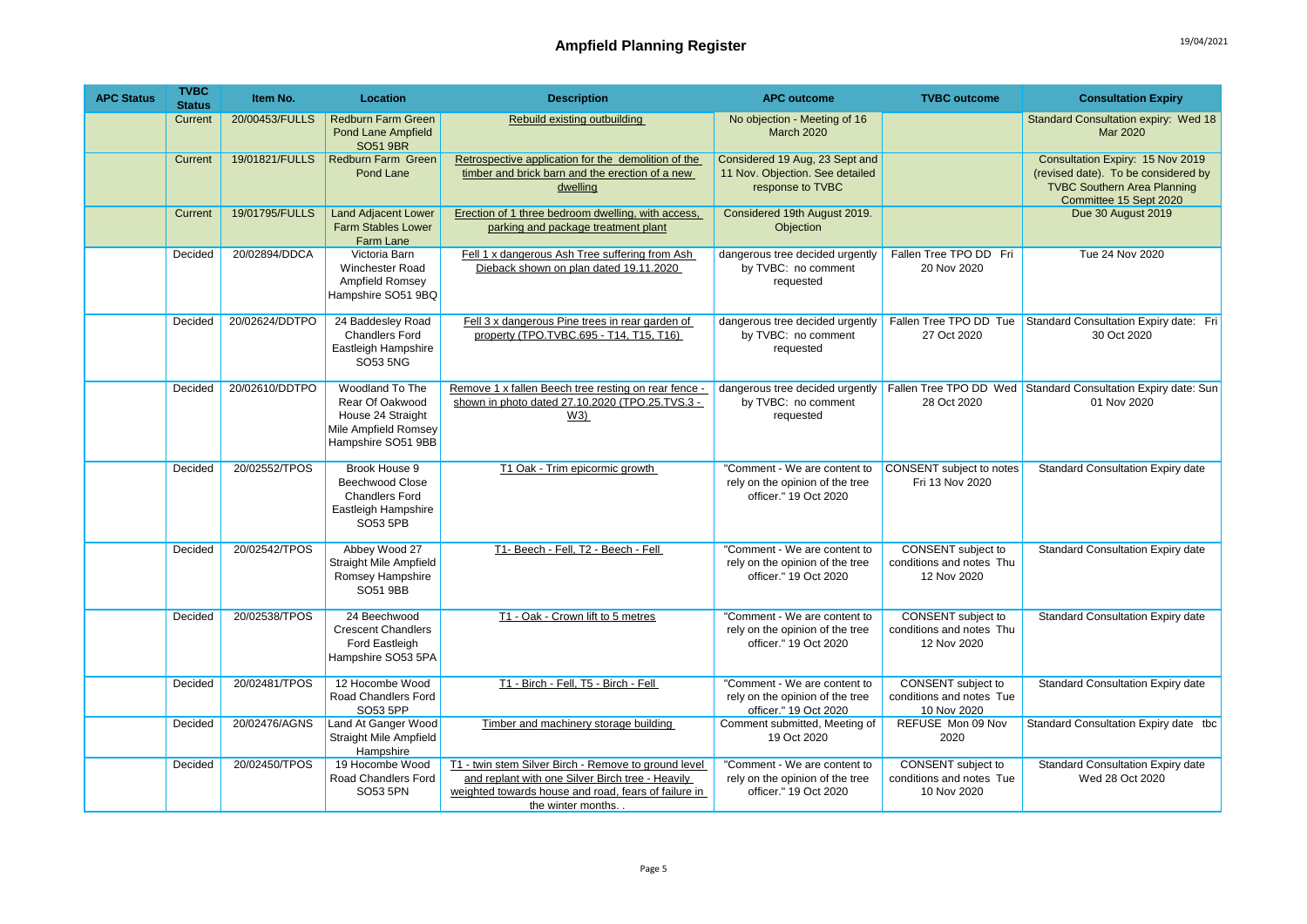| <b>APC Status</b> | <b>TVBC</b><br><b>Status</b> | Item No.       | Location                                                                                              | <b>Description</b>                                                                                                                                                                     | <b>APC outcome</b>                                                                       | <b>TVBC</b> outcome                                                  | <b>Consultation Expiry</b>                                                                                                              |
|-------------------|------------------------------|----------------|-------------------------------------------------------------------------------------------------------|----------------------------------------------------------------------------------------------------------------------------------------------------------------------------------------|------------------------------------------------------------------------------------------|----------------------------------------------------------------------|-----------------------------------------------------------------------------------------------------------------------------------------|
|                   | Current                      | 20/00453/FULLS | <b>Redburn Farm Green</b><br><b>Pond Lane Ampfield</b><br><b>SO51 9BR</b>                             | Rebuild existing outbuilding                                                                                                                                                           | No objection - Meeting of 16<br><b>March 2020</b>                                        |                                                                      | Standard Consultation expiry: Wed 18<br>Mar 2020                                                                                        |
|                   | Current                      | 19/01821/FULLS | <b>Redburn Farm Green</b><br>Pond Lane                                                                | Retrospective application for the demolition of the<br>timber and brick barn and the erection of a new<br>dwelling                                                                     | Considered 19 Aug, 23 Sept and<br>11 Nov. Objection. See detailed<br>response to TVBC    |                                                                      | Consultation Expiry: 15 Nov 2019<br>(revised date). To be considered by<br><b>TVBC Southern Area Planning</b><br>Committee 15 Sept 2020 |
|                   | Current                      | 19/01795/FULLS | <b>Land Adjacent Lower</b><br><b>Farm Stables Lower</b><br>Farm Lane                                  | Erection of 1 three bedroom dwelling, with access,<br>parking and package treatment plant                                                                                              | Considered 19th August 2019.<br>Objection                                                |                                                                      | Due 30 August 2019                                                                                                                      |
|                   | Decided                      | 20/02894/DDCA  | Victoria Barn<br>Winchester Road<br>Ampfield Romsey<br>Hampshire SO51 9BQ                             | Fell 1 x dangerous Ash Tree suffering from Ash<br>Dieback shown on plan dated 19.11.2020                                                                                               | dangerous tree decided urgently<br>by TVBC: no comment<br>requested                      | Fallen Tree TPO DD Fri<br>20 Nov 2020                                | <b>Tue 24 Nov 2020</b>                                                                                                                  |
|                   | Decided                      | 20/02624/DDTPO | 24 Baddesley Road<br><b>Chandlers Ford</b><br>Eastleigh Hampshire<br>SO53 5NG                         | Fell 3 x dangerous Pine trees in rear garden of<br>property (TPO.TVBC.695 - T14, T15, T16)                                                                                             | dangerous tree decided urgently<br>by TVBC: no comment<br>requested                      | 27 Oct 2020                                                          | Fallen Tree TPO DD Tue Standard Consultation Expiry date: Fri<br>30 Oct 2020                                                            |
|                   | Decided                      | 20/02610/DDTPO | Woodland To The<br>Rear Of Oakwood<br>House 24 Straight<br>Mile Ampfield Romsey<br>Hampshire SO51 9BB | Remove 1 x fallen Beech tree resting on rear fence -<br>shown in photo dated 27.10.2020 (TPO.25.TVS.3 -<br>W3)                                                                         | dangerous tree decided urgently<br>by TVBC: no comment<br>requested                      | 28 Oct 2020                                                          | Fallen Tree TPO DD Wed Standard Consultation Expiry date: Sun<br>01 Nov 2020                                                            |
|                   | Decided                      | 20/02552/TPOS  | Brook House 9<br><b>Beechwood Close</b><br><b>Chandlers Ford</b><br>Eastleigh Hampshire<br>SO53 5PB   | T1 Oak - Trim epicormic growth                                                                                                                                                         | "Comment - We are content to<br>rely on the opinion of the tree<br>officer." 19 Oct 2020 | CONSENT subject to notes<br>Fri 13 Nov 2020                          | <b>Standard Consultation Expiry date</b>                                                                                                |
|                   | Decided                      | 20/02542/TPOS  | Abbey Wood 27<br><b>Straight Mile Ampfield</b><br>Romsey Hampshire<br>SO51 9BB                        | T1- Beech - Fell, T2 - Beech - Fell                                                                                                                                                    | "Comment - We are content to<br>rely on the opinion of the tree<br>officer." 19 Oct 2020 | <b>CONSENT</b> subject to<br>conditions and notes Thu<br>12 Nov 2020 | Standard Consultation Expiry date                                                                                                       |
|                   | Decided                      | 20/02538/TPOS  | 24 Beechwood<br><b>Crescent Chandlers</b><br>Ford Eastleigh<br>Hampshire SO53 5PA                     | T1 - Oak - Crown lift to 5 metres                                                                                                                                                      | "Comment - We are content to<br>rely on the opinion of the tree<br>officer." 19 Oct 2020 | CONSENT subject to<br>conditions and notes Thu<br>12 Nov 2020        | Standard Consultation Expiry date                                                                                                       |
|                   | Decided                      | 20/02481/TPOS  | 12 Hocombe Wood<br>Road Chandlers Ford<br>SO53 5PP                                                    | T1 - Birch - Fell, T5 - Birch - Fell                                                                                                                                                   | "Comment - We are content to<br>rely on the opinion of the tree<br>officer." 19 Oct 2020 | CONSENT subject to<br>conditions and notes Tue<br>10 Nov 2020        | <b>Standard Consultation Expiry date</b>                                                                                                |
|                   | Decided                      | 20/02476/AGNS  | Land At Ganger Wood<br>Straight Mile Ampfield<br>Hampshire                                            | Timber and machinery storage building                                                                                                                                                  | Comment submitted, Meeting of<br>19 Oct 2020                                             | REFUSE Mon 09 Nov<br>2020                                            | Standard Consultation Expiry date tbc                                                                                                   |
|                   | Decided                      | 20/02450/TPOS  | 19 Hocombe Wood<br>Road Chandlers Ford<br>SO53 5PN                                                    | T1 - twin stem Silver Birch - Remove to ground level<br>and replant with one Silver Birch tree - Heavily<br>weighted towards house and road, fears of failure in<br>the winter months. | "Comment - We are content to<br>rely on the opinion of the tree<br>officer." 19 Oct 2020 | <b>CONSENT</b> subject to<br>conditions and notes Tue<br>10 Nov 2020 | <b>Standard Consultation Expiry date</b><br>Wed 28 Oct 2020                                                                             |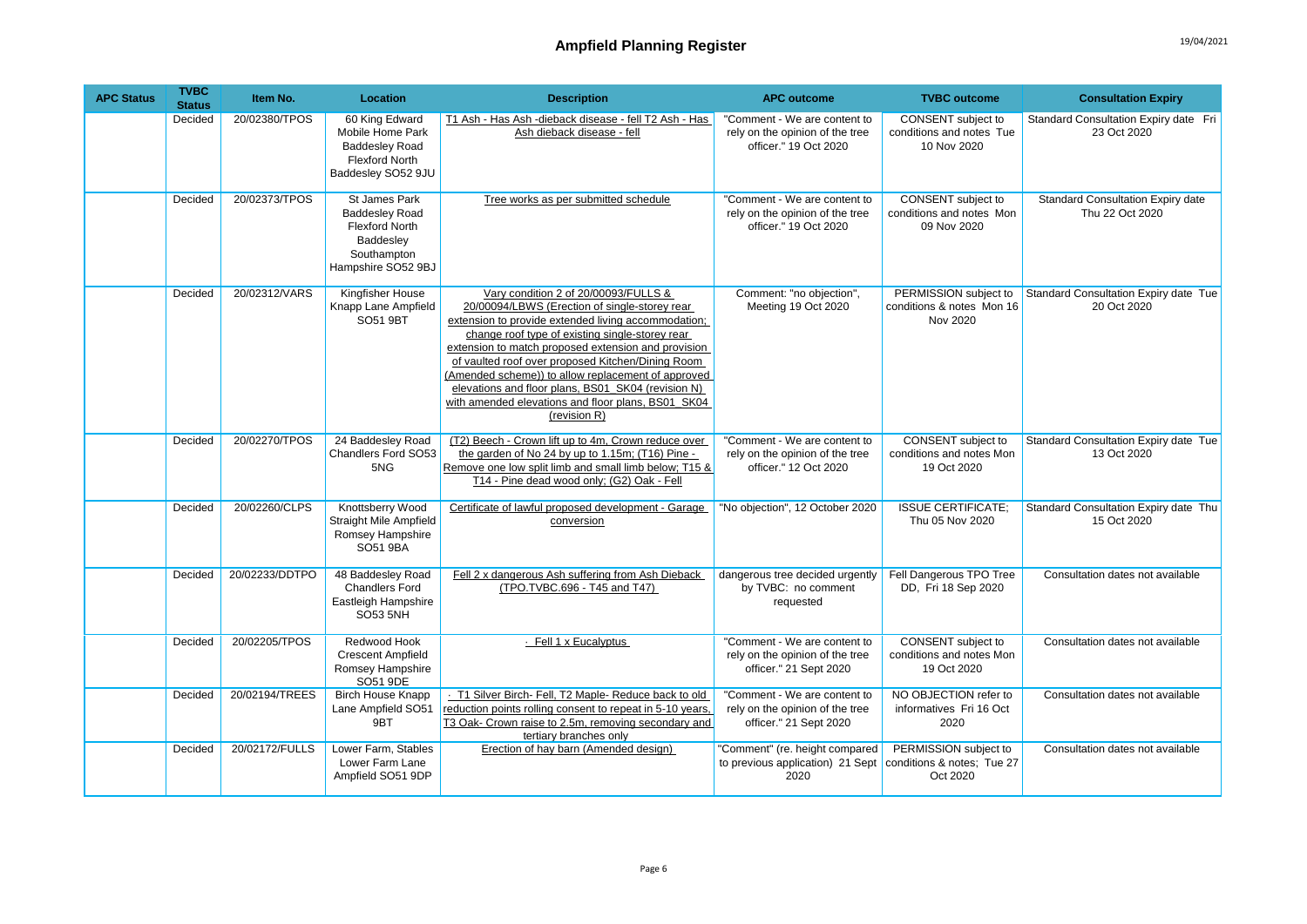| <b>APC Status</b> | <b>TVBC</b><br><b>Status</b> | Item No.       | Location                                                                                                          | <b>Description</b>                                                                                                                                                                                                                                                                                                                                                                                                                                                                            | <b>APC outcome</b>                                                                        | <b>TVBC</b> outcome                                                  | <b>Consultation Expiry</b>                                  |
|-------------------|------------------------------|----------------|-------------------------------------------------------------------------------------------------------------------|-----------------------------------------------------------------------------------------------------------------------------------------------------------------------------------------------------------------------------------------------------------------------------------------------------------------------------------------------------------------------------------------------------------------------------------------------------------------------------------------------|-------------------------------------------------------------------------------------------|----------------------------------------------------------------------|-------------------------------------------------------------|
|                   | Decided                      | 20/02380/TPOS  | 60 King Edward<br>Mobile Home Park<br><b>Baddesley Road</b><br><b>Flexford North</b><br>Baddesley SO52 9JU        | T1 Ash - Has Ash - dieback disease - fell T2 Ash - Has<br>Ash dieback disease - fell                                                                                                                                                                                                                                                                                                                                                                                                          | "Comment - We are content to<br>rely on the opinion of the tree<br>officer." 19 Oct 2020  | CONSENT subject to<br>conditions and notes Tue<br>10 Nov 2020        | Standard Consultation Expiry date Fri<br>23 Oct 2020        |
|                   | Decided                      | 20/02373/TPOS  | St James Park<br><b>Baddesley Road</b><br><b>Flexford North</b><br>Baddesley<br>Southampton<br>Hampshire SO52 9BJ | Tree works as per submitted schedule                                                                                                                                                                                                                                                                                                                                                                                                                                                          | "Comment - We are content to<br>rely on the opinion of the tree<br>officer." 19 Oct 2020  | <b>CONSENT</b> subject to<br>conditions and notes Mon<br>09 Nov 2020 | <b>Standard Consultation Expiry date</b><br>Thu 22 Oct 2020 |
|                   | Decided                      | 20/02312/VARS  | Kingfisher House<br>Knapp Lane Ampfield<br>SO51 9BT                                                               | Vary condition 2 of 20/00093/FULLS &<br>20/00094/LBWS (Erection of single-storey rear<br>extension to provide extended living accommodation;<br>change roof type of existing single-storey rear<br>extension to match proposed extension and provision<br>of vaulted roof over proposed Kitchen/Dining Room<br>(Amended scheme)) to allow replacement of approved<br>elevations and floor plans, BS01 SK04 (revision N)<br>with amended elevations and floor plans, BS01_SK04<br>(revision R) | Comment: "no objection",<br>Meeting 19 Oct 2020                                           | PERMISSION subject to<br>conditions & notes Mon 16<br>Nov 2020       | Standard Consultation Expiry date Tue<br>20 Oct 2020        |
|                   | Decided                      | 20/02270/TPOS  | 24 Baddesley Road<br>Chandlers Ford SO53<br>5NG                                                                   | (T2) Beech - Crown lift up to 4m, Crown reduce over<br>the garden of No 24 by up to 1.15m; (T16) Pine -<br>Remove one low split limb and small limb below; T15 &<br>T14 - Pine dead wood only; (G2) Oak - Fell                                                                                                                                                                                                                                                                                | "Comment - We are content to<br>rely on the opinion of the tree<br>officer." 12 Oct 2020  | CONSENT subject to<br>conditions and notes Mon<br>19 Oct 2020        | Standard Consultation Expiry date Tue<br>13 Oct 2020        |
|                   | Decided                      | 20/02260/CLPS  | Knottsberry Wood<br><b>Straight Mile Ampfield</b><br>Romsey Hampshire<br>SO51 9BA                                 | Certificate of lawful proposed development - Garage<br>conversion                                                                                                                                                                                                                                                                                                                                                                                                                             | "No objection", 12 October 2020                                                           | <b>ISSUE CERTIFICATE:</b><br>Thu 05 Nov 2020                         | Standard Consultation Expiry date Thu<br>15 Oct 2020        |
|                   | Decided                      | 20/02233/DDTPO | 48 Baddesley Road<br><b>Chandlers Ford</b><br>Eastleigh Hampshire<br><b>SO53 5NH</b>                              | Fell 2 x dangerous Ash suffering from Ash Dieback<br>(TPO.TVBC.696 - T45 and T47)                                                                                                                                                                                                                                                                                                                                                                                                             | dangerous tree decided urgently<br>by TVBC: no comment<br>requested                       | Fell Dangerous TPO Tree<br>DD, Fri 18 Sep 2020                       | Consultation dates not available                            |
|                   | Decided                      | 20/02205/TPOS  | Redwood Hook<br><b>Crescent Ampfield</b><br>Romsey Hampshire<br>SO51 9DE                                          | · Fell 1 x Eucalyptus                                                                                                                                                                                                                                                                                                                                                                                                                                                                         | "Comment - We are content to<br>rely on the opinion of the tree<br>officer." 21 Sept 2020 | CONSENT subject to<br>conditions and notes Mon<br>19 Oct 2020        | Consultation dates not available                            |
|                   | Decided                      | 20/02194/TREES | <b>Birch House Knapp</b><br>Lane Ampfield SO51<br>9BT                                                             | T1 Silver Birch- Fell, T2 Maple- Reduce back to old<br>reduction points rolling consent to repeat in 5-10 years,<br>T3 Oak- Crown raise to 2.5m, removing secondary and<br>tertiary branches only                                                                                                                                                                                                                                                                                             | "Comment - We are content to<br>rely on the opinion of the tree<br>officer." 21 Sept 2020 | NO OBJECTION refer to<br>informatives Fri 16 Oct<br>2020             | Consultation dates not available                            |
|                   | Decided                      | 20/02172/FULLS | Lower Farm, Stables<br>Lower Farm Lane<br>Ampfield SO51 9DP                                                       | Erection of hay barn (Amended design)                                                                                                                                                                                                                                                                                                                                                                                                                                                         | "Comment" (re. height compared<br>to previous application) 21 Sept<br>2020                | PERMISSION subject to<br>conditions & notes; Tue 27<br>Oct 2020      | Consultation dates not available                            |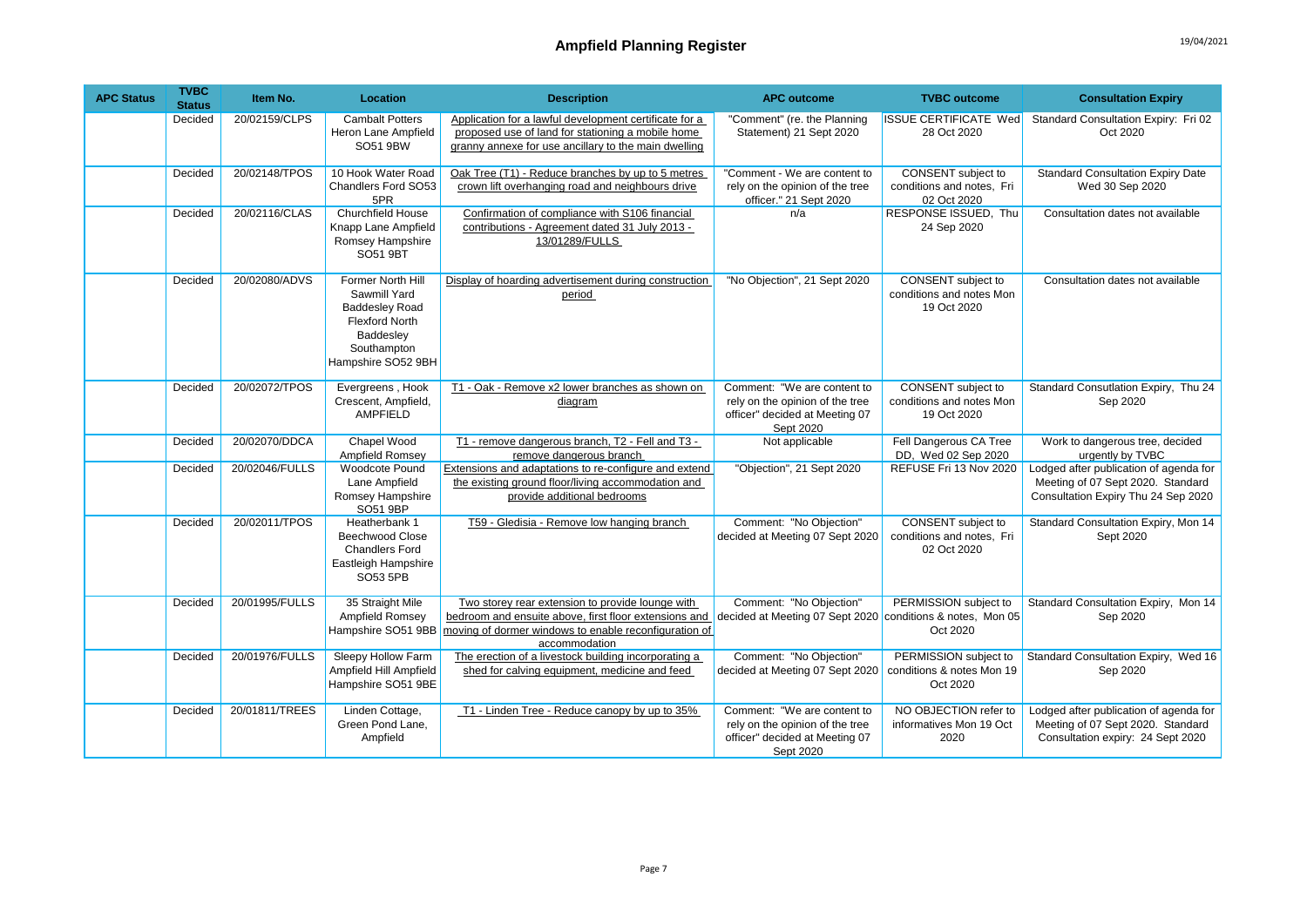## Ampfield Planning Register **19/04/2021**

| <b>APC Status</b> | <b>TVBC</b><br><b>Status</b> | Item No.       | <b>Location</b>                                                                                                                       | <b>Description</b>                                                                                                                                                                  | <b>APC outcome</b>                                                                                            | <b>TVBC</b> outcome                                                   | <b>Consultation Expiry</b>                                                                                         |
|-------------------|------------------------------|----------------|---------------------------------------------------------------------------------------------------------------------------------------|-------------------------------------------------------------------------------------------------------------------------------------------------------------------------------------|---------------------------------------------------------------------------------------------------------------|-----------------------------------------------------------------------|--------------------------------------------------------------------------------------------------------------------|
|                   | Decided                      | 20/02159/CLPS  | <b>Cambalt Potters</b><br>Heron Lane Ampfield<br>SO51 9BW                                                                             | Application for a lawful development certificate for a<br>proposed use of land for stationing a mobile home<br>granny annexe for use ancillary to the main dwelling                 | "Comment" (re. the Planning<br>Statement) 21 Sept 2020                                                        | <b>ISSUE CERTIFICATE Wed</b><br>28 Oct 2020                           | Standard Consultation Expiry: Fri 02<br>Oct 2020                                                                   |
|                   | Decided                      | 20/02148/TPOS  | 10 Hook Water Road<br>Chandlers Ford SO53<br>5PR                                                                                      | Oak Tree (T1) - Reduce branches by up to 5 metres<br>crown lift overhanging road and neighbours drive                                                                               | "Comment - We are content to<br>rely on the opinion of the tree<br>officer." 21 Sept 2020                     | CONSENT subject to<br>conditions and notes, Fri<br>02 Oct 2020        | <b>Standard Consultation Expiry Date</b><br>Wed 30 Sep 2020                                                        |
|                   | Decided                      | 20/02116/CLAS  | <b>Churchfield House</b><br>Knapp Lane Ampfield<br>Romsey Hampshire<br><b>SO51 9BT</b>                                                | Confirmation of compliance with S106 financial<br>contributions - Agreement dated 31 July 2013 -<br>13/01289/FULLS                                                                  | n/a                                                                                                           | RESPONSE ISSUED, Thu<br>24 Sep 2020                                   | Consultation dates not available                                                                                   |
|                   | Decided                      | 20/02080/ADVS  | Former North Hill<br>Sawmill Yard<br><b>Baddesley Road</b><br><b>Flexford North</b><br>Baddesley<br>Southampton<br>Hampshire SO52 9BH | Display of hoarding advertisement during construction<br>period                                                                                                                     | "No Objection", 21 Sept 2020                                                                                  | <b>CONSENT</b> subject to<br>conditions and notes Mon<br>19 Oct 2020  | Consultation dates not available                                                                                   |
|                   | Decided                      | 20/02072/TPOS  | Evergreens, Hook<br>Crescent, Ampfield,<br>AMPFIELD                                                                                   | T1 - Oak - Remove x2 lower branches as shown on<br>diagram                                                                                                                          | Comment: "We are content to<br>rely on the opinion of the tree<br>officer" decided at Meeting 07<br>Sept 2020 | <b>CONSENT</b> subject to<br>conditions and notes Mon<br>19 Oct 2020  | Standard Consutlation Expiry, Thu 24<br>Sep 2020                                                                   |
|                   | Decided                      | 20/02070/DDCA  | Chapel Wood<br>Ampfield Romsev                                                                                                        | T1 - remove dangerous branch, T2 - Fell and T3 -<br>remove dangerous branch                                                                                                         | Not applicable                                                                                                | Fell Dangerous CA Tree<br>DD, Wed 02 Sep 2020                         | Work to dangerous tree, decided<br>urgently by TVBC                                                                |
|                   | Decided                      | 20/02046/FULLS | <b>Woodcote Pound</b><br>Lane Ampfield<br>Romsey Hampshire<br>SO51 9BP                                                                | Extensions and adaptations to re-configure and extend<br>the existing ground floor/living accommodation and<br>provide additional bedrooms                                          | "Objection", 21 Sept 2020                                                                                     | REFUSE Fri 13 Nov 2020                                                | Lodged after publication of agenda for<br>Meeting of 07 Sept 2020. Standard<br>Consultation Expiry Thu 24 Sep 2020 |
|                   | Decided                      | 20/02011/TPOS  | Heatherbank 1<br><b>Beechwood Close</b><br><b>Chandlers Ford</b><br>Eastleigh Hampshire<br>SO53 5PB                                   | T59 - Gledisia - Remove low hanging branch                                                                                                                                          | Comment: "No Objection"<br>decided at Meeting 07 Sept 2020                                                    | <b>CONSENT</b> subject to<br>conditions and notes, Fri<br>02 Oct 2020 | Standard Consultation Expiry, Mon 14<br>Sept 2020                                                                  |
|                   | Decided                      | 20/01995/FULLS | 35 Straight Mile<br>Ampfield Romsey<br>Hampshire SO51 9BB                                                                             | Two storey rear extension to provide lounge with<br>bedroom and ensuite above, first floor extensions and<br>moving of dormer windows to enable reconfiguration of<br>accommodation | Comment: "No Objection"<br>decided at Meeting 07 Sept 2020                                                    | PERMISSION subject to<br>conditions & notes, Mon 05<br>Oct 2020       | Standard Consultation Expiry, Mon 14<br>Sep 2020                                                                   |
|                   | Decided                      | 20/01976/FULLS | Sleepy Hollow Farm<br>Ampfield Hill Ampfield<br>Hampshire SO51 9BE                                                                    | The erection of a livestock building incorporating a<br>shed for calving equipment, medicine and feed                                                                               | Comment: "No Objection"<br>decided at Meeting 07 Sept 2020                                                    | PERMISSION subject to<br>conditions & notes Mon 19<br>Oct 2020        | Standard Consultation Expiry, Wed 16<br>Sep 2020                                                                   |
|                   | Decided                      | 20/01811/TREES | Linden Cottage,<br>Green Pond Lane,<br>Ampfield                                                                                       | T1 - Linden Tree - Reduce canopy by up to 35%                                                                                                                                       | Comment: "We are content to<br>rely on the opinion of the tree<br>officer" decided at Meeting 07<br>Sept 2020 | NO OBJECTION refer to<br>informatives Mon 19 Oct<br>2020              | Lodged after publication of agenda for<br>Meeting of 07 Sept 2020. Standard<br>Consultation expiry: 24 Sept 2020   |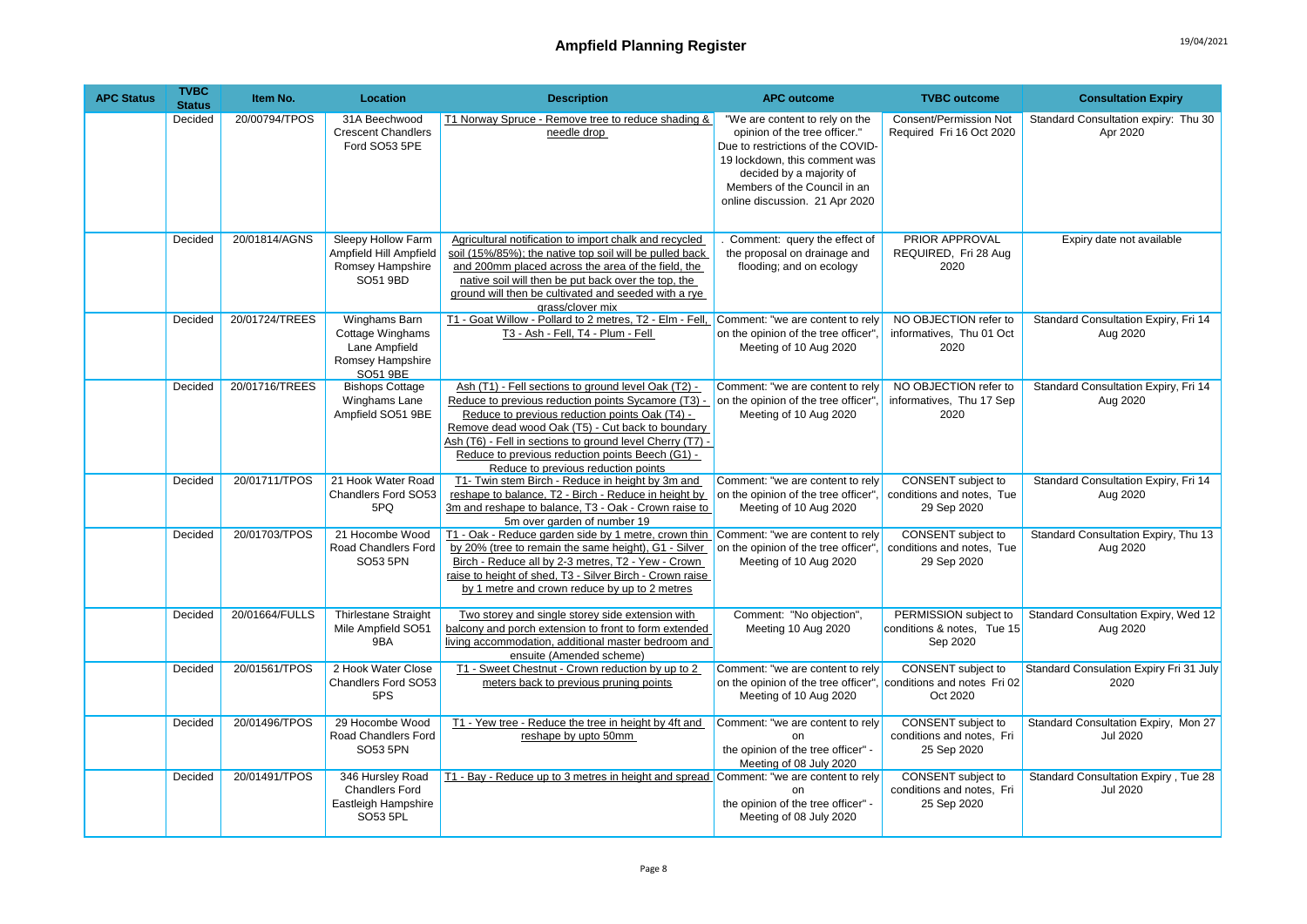| <b>APC Status</b> | <b>TVBC</b><br><b>Status</b> | Item No.       | Location                                                                           | <b>Description</b>                                                                                                                                                                                                                                                                                                                                                       | <b>APC outcome</b>                                                                                                                                                                                                                  | <b>TVBC</b> outcome                                                   | <b>Consultation Expiry</b>                                     |
|-------------------|------------------------------|----------------|------------------------------------------------------------------------------------|--------------------------------------------------------------------------------------------------------------------------------------------------------------------------------------------------------------------------------------------------------------------------------------------------------------------------------------------------------------------------|-------------------------------------------------------------------------------------------------------------------------------------------------------------------------------------------------------------------------------------|-----------------------------------------------------------------------|----------------------------------------------------------------|
|                   | Decided                      | 20/00794/TPOS  | 31A Beechwood<br><b>Crescent Chandlers</b><br>Ford SO53 5PE                        | T1 Norway Spruce - Remove tree to reduce shading &<br>needle drop                                                                                                                                                                                                                                                                                                        | "We are content to rely on the<br>opinion of the tree officer."<br>Due to restrictions of the COVID-<br>19 lockdown, this comment was<br>decided by a majority of<br>Members of the Council in an<br>online discussion. 21 Apr 2020 | Consent/Permission Not<br>Required Fri 16 Oct 2020                    | Standard Consultation expiry: Thu 30<br>Apr 2020               |
|                   | Decided                      | 20/01814/AGNS  | Sleepy Hollow Farm<br>Ampfield Hill Ampfield<br>Romsey Hampshire<br>SO51 9BD       | Agricultural notification to import chalk and recycled<br>soil (15%/85%); the native top soil will be pulled back<br>and 200mm placed across the area of the field, the<br>native soil will then be put back over the top, the<br>ground will then be cultivated and seeded with a rye<br>grass/clover mix                                                               | Comment: query the effect of<br>the proposal on drainage and<br>flooding; and on ecology                                                                                                                                            | PRIOR APPROVAL<br>REQUIRED, Fri 28 Aug<br>2020                        | Expiry date not available                                      |
|                   | Decided                      | 20/01724/TREES | Winghams Barn<br>Cottage Winghams<br>Lane Ampfield<br>Romsey Hampshire<br>SO51 9BE | T1 - Goat Willow - Pollard to 2 metres, T2 - Elm - Fell,<br>T3 - Ash - Fell, T4 - Plum - Fell                                                                                                                                                                                                                                                                            | Comment: "we are content to rely<br>on the opinion of the tree officer".<br>Meeting of 10 Aug 2020                                                                                                                                  | NO OBJECTION refer to<br>informatives, Thu 01 Oct<br>2020             | Standard Consultation Expiry, Fri 14<br>Aug 2020               |
|                   | Decided                      | 20/01716/TREES | <b>Bishops Cottage</b><br>Winghams Lane<br>Ampfield SO51 9BE                       | Ash (T1) - Fell sections to ground level Oak (T2) -<br>Reduce to previous reduction points Sycamore (T3) -<br>Reduce to previous reduction points Oak (T4) -<br>Remove dead wood Oak (T5) - Cut back to boundary<br>Ash (T6) - Fell in sections to ground level Cherry (T7) -<br>Reduce to previous reduction points Beech (G1) -<br>Reduce to previous reduction points | Comment: "we are content to rely<br>on the opinion of the tree officer".<br>Meeting of 10 Aug 2020                                                                                                                                  | NO OBJECTION refer to<br>informatives, Thu 17 Sep<br>2020             | Standard Consultation Expiry, Fri 14<br>Aug 2020               |
|                   | Decided                      | 20/01711/TPOS  | 21 Hook Water Road<br>Chandlers Ford SO53<br>5PQ                                   | T1- Twin stem Birch - Reduce in height by 3m and<br>reshape to balance, T2 - Birch - Reduce in height by<br>3m and reshape to balance, T3 - Oak - Crown raise to<br>5m over garden of number 19                                                                                                                                                                          | Comment: "we are content to rely<br>on the opinion of the tree officer",<br>Meeting of 10 Aug 2020                                                                                                                                  | CONSENT subject to<br>conditions and notes, Tue<br>29 Sep 2020        | Standard Consultation Expiry, Fri 14<br>Aug 2020               |
|                   | Decided                      | 20/01703/TPOS  | 21 Hocombe Wood<br>Road Chandlers Ford<br>SO53 5PN                                 | T1 - Oak - Reduce garden side by 1 metre, crown thin Comment: "we are content to rely<br>by 20% (tree to remain the same height), G1 - Silver<br>Birch - Reduce all by 2-3 metres, T2 - Yew - Crown<br>raise to height of shed, T3 - Silver Birch - Crown raise<br>by 1 metre and crown reduce by up to 2 metres                                                         | on the opinion of the tree officer",<br>Meeting of 10 Aug 2020                                                                                                                                                                      | CONSENT subject to<br>conditions and notes. Tue<br>29 Sep 2020        | Standard Consultation Expiry, Thu 13<br>Aug 2020               |
|                   | Decided                      | 20/01664/FULLS | <b>Thirlestane Straight</b><br>Mile Ampfield SO51<br>9BA                           | Two storey and single storey side extension with<br>balcony and porch extension to front to form extended<br>living accommodation, additional master bedroom and<br>ensuite (Amended scheme)                                                                                                                                                                             | Comment: "No objection",<br>Meeting 10 Aug 2020                                                                                                                                                                                     | PERMISSION subject to<br>conditions & notes, Tue 15<br>Sep 2020       | Standard Consultation Expiry, Wed 12<br>Aug 2020               |
|                   | Decided                      | 20/01561/TPOS  | 2 Hook Water Close<br>Chandlers Ford SO53<br>5PS                                   | T1 - Sweet Chestnut - Crown reduction by up to 2<br>meters back to previous pruning points                                                                                                                                                                                                                                                                               | Comment: "we are content to rely<br>on the opinion of the tree officer", conditions and notes Fri 02<br>Meeting of 10 Aug 2020                                                                                                      | CONSENT subject to<br>Oct 2020                                        | Standard Consulation Expiry Fri 31 July<br>2020                |
|                   | Decided                      | 20/01496/TPOS  | 29 Hocombe Wood<br>Road Chandlers Ford<br>SO53 5PN                                 | T1 - Yew tree - Reduce the tree in height by 4ft and<br>reshape by upto 50mm                                                                                                                                                                                                                                                                                             | Comment: "we are content to rely<br><sub>on</sub><br>the opinion of the tree officer" -<br>Meeting of 08 July 2020                                                                                                                  | CONSENT subject to<br>conditions and notes, Fri<br>25 Sep 2020        | Standard Consultation Expiry, Mon 27<br><b>Jul 2020</b>        |
|                   | Decided                      | 20/01491/TPOS  | 346 Hursley Road<br><b>Chandlers Ford</b><br>Eastleigh Hampshire<br>SO53 5PL       | T1 - Bay - Reduce up to 3 metres in height and spread Comment: "we are content to rely                                                                                                                                                                                                                                                                                   | nn<br>the opinion of the tree officer" -<br>Meeting of 08 July 2020                                                                                                                                                                 | <b>CONSENT</b> subject to<br>conditions and notes, Fri<br>25 Sep 2020 | <b>Standard Consultation Expiry, Tue 28</b><br><b>Jul 2020</b> |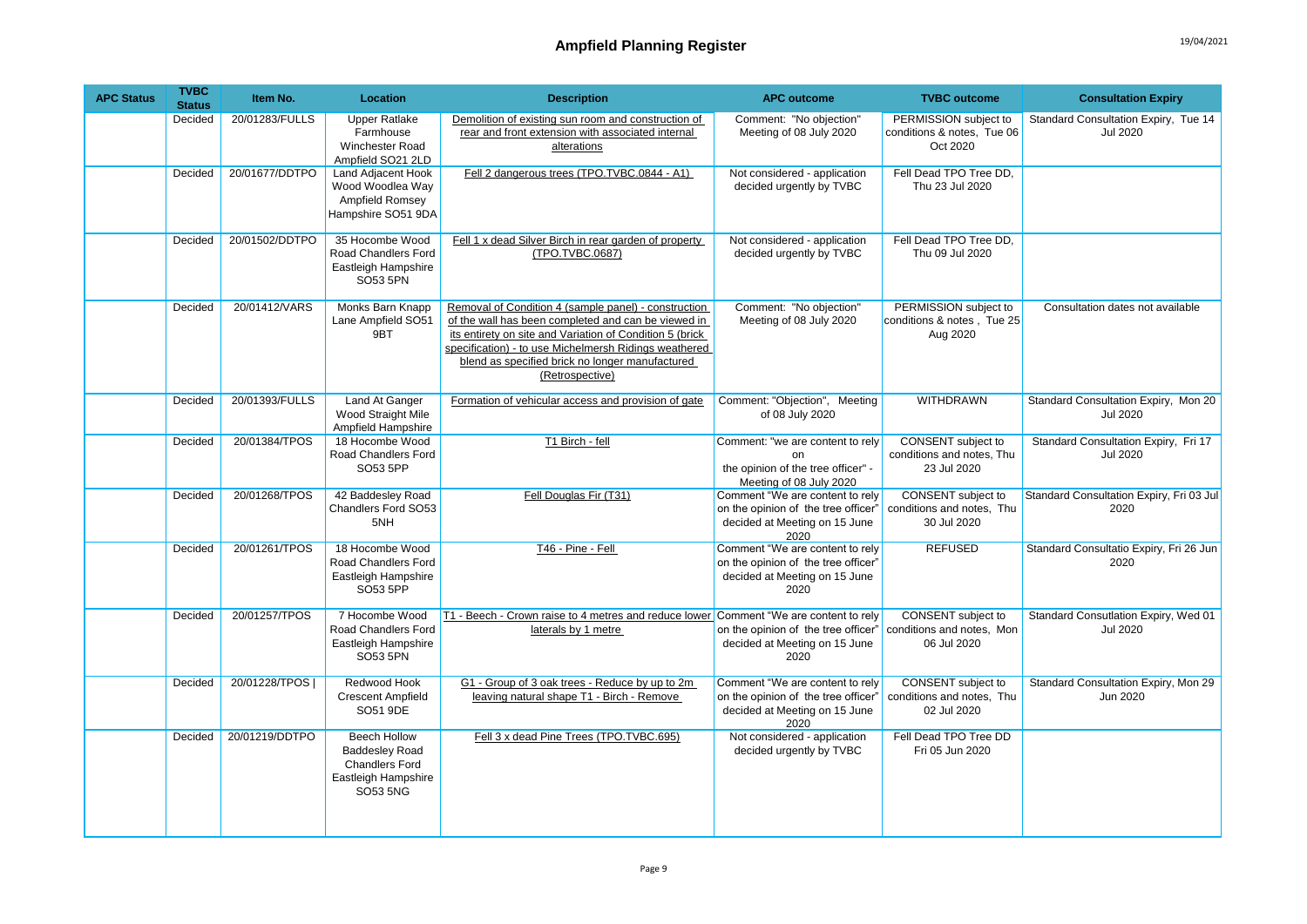| <b>APC Status</b> | <b>TVBC</b><br><b>Status</b> | Item No.       | Location                                                                                                 | <b>Description</b>                                                                                                                                                                                                                                                                                     | <b>APC outcome</b>                                                                                              | <b>TVBC</b> outcome                                             | <b>Consultation Expiry</b>                              |
|-------------------|------------------------------|----------------|----------------------------------------------------------------------------------------------------------|--------------------------------------------------------------------------------------------------------------------------------------------------------------------------------------------------------------------------------------------------------------------------------------------------------|-----------------------------------------------------------------------------------------------------------------|-----------------------------------------------------------------|---------------------------------------------------------|
|                   | Decided                      | 20/01283/FULLS | <b>Upper Ratlake</b><br>Farmhouse<br><b>Winchester Road</b><br>Ampfield SO21 2LD                         | Demolition of existing sun room and construction of<br>rear and front extension with associated internal<br>alterations                                                                                                                                                                                | Comment: "No objection"<br>Meeting of 08 July 2020                                                              | PERMISSION subject to<br>conditions & notes, Tue 06<br>Oct 2020 | Standard Consultation Expiry, Tue 14<br><b>Jul 2020</b> |
|                   | Decided                      | 20/01677/DDTPO | Land Adjacent Hook<br>Wood Woodlea Way<br>Ampfield Romsey<br>Hampshire SO51 9DA                          | Fell 2 dangerous trees (TPO.TVBC.0844 - A1)                                                                                                                                                                                                                                                            | Not considered - application<br>decided urgently by TVBC                                                        | Fell Dead TPO Tree DD,<br>Thu 23 Jul 2020                       |                                                         |
|                   | Decided                      | 20/01502/DDTPO | 35 Hocombe Wood<br>Road Chandlers Ford<br>Eastleigh Hampshire<br>SO53 5PN                                | Fell 1 x dead Silver Birch in rear garden of property<br>(TPO.TVBC.0687)                                                                                                                                                                                                                               | Not considered - application<br>decided urgently by TVBC                                                        | Fell Dead TPO Tree DD.<br>Thu 09 Jul 2020                       |                                                         |
|                   | Decided                      | 20/01412/VARS  | Monks Barn Knapp<br>Lane Ampfield SO51<br>9BT                                                            | Removal of Condition 4 (sample panel) - construction<br>of the wall has been completed and can be viewed in<br>its entirety on site and Variation of Condition 5 (brick<br>specification) - to use Michelmersh Ridings weathered<br>blend as specified brick no longer manufactured<br>(Retrospective) | Comment: "No objection"<br>Meeting of 08 July 2020                                                              | PERMISSION subject to<br>conditions & notes, Tue 25<br>Aug 2020 | Consultation dates not available                        |
|                   | Decided                      | 20/01393/FULLS | Land At Ganger<br>Wood Straight Mile<br>Ampfield Hampshire                                               | Formation of vehicular access and provision of gate                                                                                                                                                                                                                                                    | Comment: "Objection", Meeting<br>of 08 July 2020                                                                | <b>WITHDRAWN</b>                                                | Standard Consultation Expiry, Mon 20<br><b>Jul 2020</b> |
|                   | Decided                      | 20/01384/TPOS  | 18 Hocombe Wood<br>Road Chandlers Ford<br>SO53 5PP                                                       | T1 Birch - fell                                                                                                                                                                                                                                                                                        | Comment: "we are content to rely<br>$\Omega$<br>the opinion of the tree officer" -<br>Meeting of 08 July 2020   | CONSENT subject to<br>conditions and notes, Thu<br>23 Jul 2020  | Standard Consultation Expiry, Fri 17<br><b>Jul 2020</b> |
|                   | Decided                      | 20/01268/TPOS  | 42 Baddesley Road<br><b>Chandlers Ford SO53</b><br>5NH                                                   | Fell Douglas Fir (T31)                                                                                                                                                                                                                                                                                 | Comment "We are content to rely<br>on the opinion of the tree officer'<br>decided at Meeting on 15 June<br>2020 | CONSENT subject to<br>conditions and notes, Thu<br>30 Jul 2020  | Standard Consultation Expiry, Fri 03 Jul<br>2020        |
|                   | Decided                      | 20/01261/TPOS  | 18 Hocombe Wood<br>Road Chandlers Ford<br>Eastleigh Hampshire<br>SO53 5PP                                | T46 - Pine - Fell                                                                                                                                                                                                                                                                                      | Comment "We are content to rely<br>on the opinion of the tree officer"<br>decided at Meeting on 15 June<br>2020 | <b>REFUSED</b>                                                  | Standard Consultatio Expiry, Fri 26 Jun<br>2020         |
|                   | Decided                      | 20/01257/TPOS  | 7 Hocombe Wood<br>Road Chandlers Ford<br>Eastleigh Hampshire<br>SO53 5PN                                 | T1 - Beech - Crown raise to 4 metres and reduce lower Comment "We are content to rely<br>laterals by 1 metre                                                                                                                                                                                           | on the opinion of the tree officer"<br>decided at Meeting on 15 June<br>2020                                    | CONSENT subject to<br>conditions and notes, Mon<br>06 Jul 2020  | Standard Consutlation Expiry, Wed 01<br><b>Jul 2020</b> |
|                   | Decided                      | 20/01228/TPOS  | Redwood Hook<br><b>Crescent Ampfield</b><br>SO51 9DE                                                     | G1 - Group of 3 oak trees - Reduce by up to 2m<br>leaving natural shape T1 - Birch - Remove                                                                                                                                                                                                            | Comment "We are content to rely<br>on the opinion of the tree officer'<br>decided at Meeting on 15 June<br>2020 | CONSENT subject to<br>conditions and notes. Thu<br>02 Jul 2020  | Standard Consultation Expiry, Mon 29<br>Jun 2020        |
|                   | Decided                      | 20/01219/DDTPO | <b>Beech Hollow</b><br><b>Baddesley Road</b><br><b>Chandlers Ford</b><br>Eastleigh Hampshire<br>SO53 5NG | Fell 3 x dead Pine Trees (TPO.TVBC.695)                                                                                                                                                                                                                                                                | Not considered - application<br>decided urgently by TVBC                                                        | Fell Dead TPO Tree DD<br>Fri 05 Jun 2020                        |                                                         |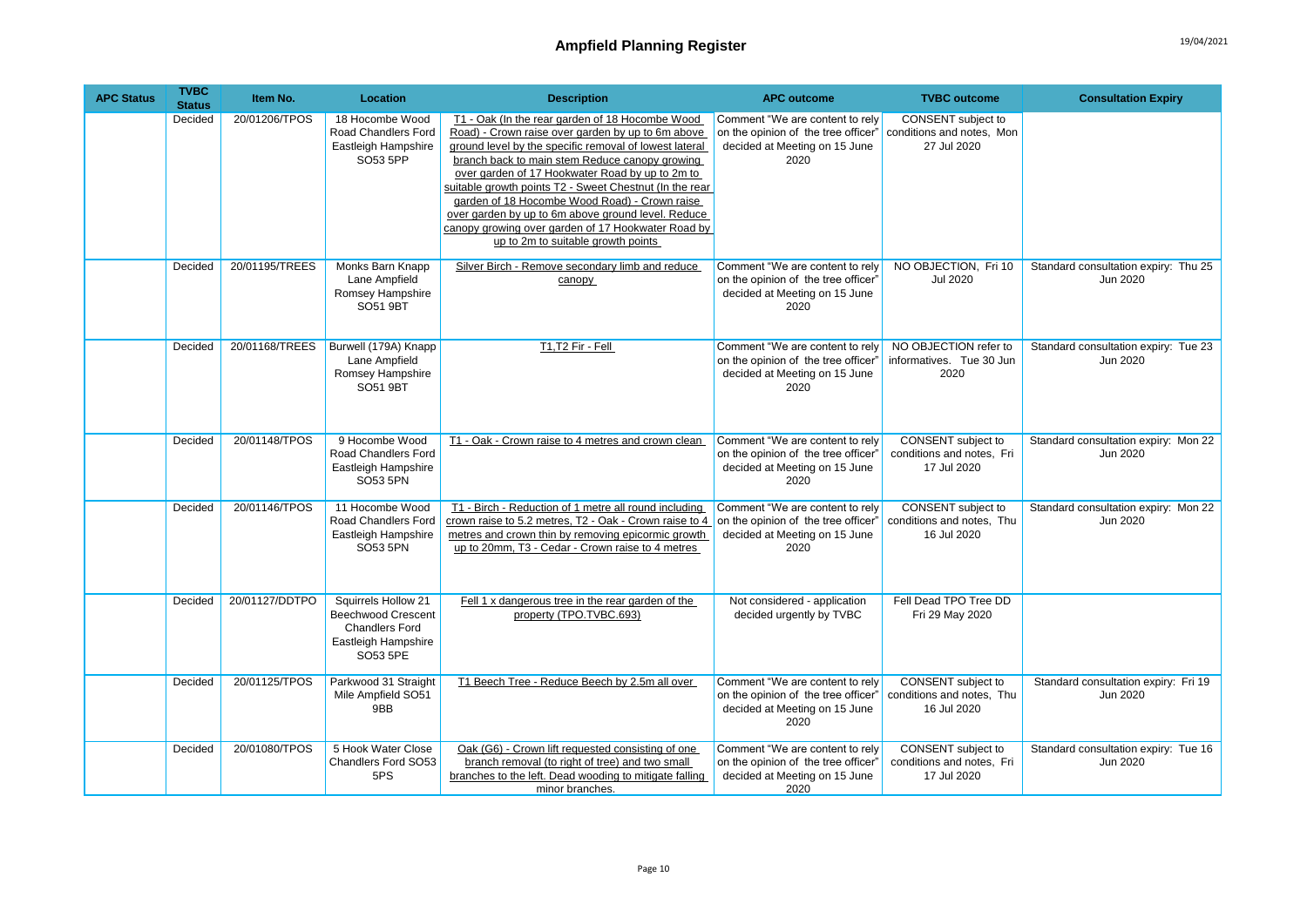## Ampfield Planning Register **19/04/2021**

| <b>APC Status</b> | <b>TVBC</b><br><b>Status</b> | Item No.       | Location                                                                                                     | <b>Description</b>                                                                                                                                                                                                                                                                                                                                                                                                                                                                                                                | <b>APC outcome</b>                                                                                              | <b>TVBC</b> outcome                                                   | <b>Consultation Expiry</b>                       |
|-------------------|------------------------------|----------------|--------------------------------------------------------------------------------------------------------------|-----------------------------------------------------------------------------------------------------------------------------------------------------------------------------------------------------------------------------------------------------------------------------------------------------------------------------------------------------------------------------------------------------------------------------------------------------------------------------------------------------------------------------------|-----------------------------------------------------------------------------------------------------------------|-----------------------------------------------------------------------|--------------------------------------------------|
|                   | Decided                      | 20/01206/TPOS  | 18 Hocombe Wood<br>Road Chandlers Ford<br>Eastleigh Hampshire<br>SO53 5PP                                    | T1 - Oak (In the rear garden of 18 Hocombe Wood<br>Road) - Crown raise over garden by up to 6m above<br>ground level by the specific removal of lowest lateral<br>branch back to main stem Reduce canopy growing<br>over garden of 17 Hookwater Road by up to 2m to<br>suitable growth points T2 - Sweet Chestnut (In the rear<br>garden of 18 Hocombe Wood Road) - Crown raise<br>over garden by up to 6m above ground level. Reduce<br>canopy growing over garden of 17 Hookwater Road by<br>up to 2m to suitable growth points | Comment "We are content to rely<br>on the opinion of the tree officer"<br>decided at Meeting on 15 June<br>2020 | CONSENT subject to<br>conditions and notes, Mon<br>27 Jul 2020        |                                                  |
|                   | Decided                      | 20/01195/TREES | Monks Barn Knapp<br>Lane Ampfield<br>Romsey Hampshire<br><b>SO51 9BT</b>                                     | Silver Birch - Remove secondary limb and reduce<br>canopy                                                                                                                                                                                                                                                                                                                                                                                                                                                                         | Comment "We are content to rely<br>on the opinion of the tree officer"<br>decided at Meeting on 15 June<br>2020 | NO OBJECTION, Fri 10<br><b>Jul 2020</b>                               | Standard consultation expiry: Thu 25<br>Jun 2020 |
|                   | Decided                      | 20/01168/TREES | Burwell (179A) Knapp<br>Lane Ampfield<br>Romsey Hampshire<br><b>SO51 9BT</b>                                 | T1,T2 Fir - Fell                                                                                                                                                                                                                                                                                                                                                                                                                                                                                                                  | Comment "We are content to rely<br>on the opinion of the tree officer'<br>decided at Meeting on 15 June<br>2020 | NO OBJECTION refer to<br>informatives. Tue 30 Jun<br>2020             | Standard consultation expiry: Tue 23<br>Jun 2020 |
|                   | Decided                      | 20/01148/TPOS  | 9 Hocombe Wood<br>Road Chandlers Ford<br>Eastleigh Hampshire<br>SO53 5PN                                     | T1 - Oak - Crown raise to 4 metres and crown clean                                                                                                                                                                                                                                                                                                                                                                                                                                                                                | Comment "We are content to rely<br>on the opinion of the tree officer"<br>decided at Meeting on 15 June<br>2020 | CONSENT subject to<br>conditions and notes, Fri<br>17 Jul 2020        | Standard consultation expiry: Mon 22<br>Jun 2020 |
|                   | Decided                      | 20/01146/TPOS  | 11 Hocombe Wood<br>Road Chandlers Ford<br>Eastleigh Hampshire<br>SO53 5PN                                    | T1 - Birch - Reduction of 1 metre all round including<br>crown raise to 5.2 metres, T2 - Oak - Crown raise to 4<br>metres and crown thin by removing epicormic growth<br>up to 20mm, T3 - Cedar - Crown raise to 4 metres                                                                                                                                                                                                                                                                                                         | Comment "We are content to rely<br>on the opinion of the tree officer"<br>decided at Meeting on 15 June<br>2020 | CONSENT subject to<br>conditions and notes, Thu<br>16 Jul 2020        | Standard consultation expiry: Mon 22<br>Jun 2020 |
|                   | Decided                      | 20/01127/DDTPO | Squirrels Hollow 21<br><b>Beechwood Crescent</b><br><b>Chandlers Ford</b><br>Eastleigh Hampshire<br>SO53 5PE | Fell 1 x dangerous tree in the rear garden of the<br>property (TPO.TVBC.693)                                                                                                                                                                                                                                                                                                                                                                                                                                                      | Not considered - application<br>decided urgently by TVBC                                                        | Fell Dead TPO Tree DD<br>Fri 29 May 2020                              |                                                  |
|                   | Decided                      | 20/01125/TPOS  | Parkwood 31 Straight<br>Mile Ampfield SO51<br>9BB                                                            | T1 Beech Tree - Reduce Beech by 2.5m all over                                                                                                                                                                                                                                                                                                                                                                                                                                                                                     | Comment "We are content to rely<br>on the opinion of the tree officer"<br>decided at Meeting on 15 June<br>2020 | <b>CONSENT</b> subject to<br>conditions and notes, Thu<br>16 Jul 2020 | Standard consultation expiry: Fri 19<br>Jun 2020 |
|                   | Decided                      | 20/01080/TPOS  | 5 Hook Water Close<br>Chandlers Ford SO53<br>5PS                                                             | Oak (G6) - Crown lift requested consisting of one<br>branch removal (to right of tree) and two small<br>branches to the left. Dead wooding to mitigate falling<br>minor branches.                                                                                                                                                                                                                                                                                                                                                 | Comment "We are content to rely<br>on the opinion of the tree officer"<br>decided at Meeting on 15 June<br>2020 | CONSENT subject to<br>conditions and notes, Fri<br>17 Jul 2020        | Standard consultation expiry: Tue 16<br>Jun 2020 |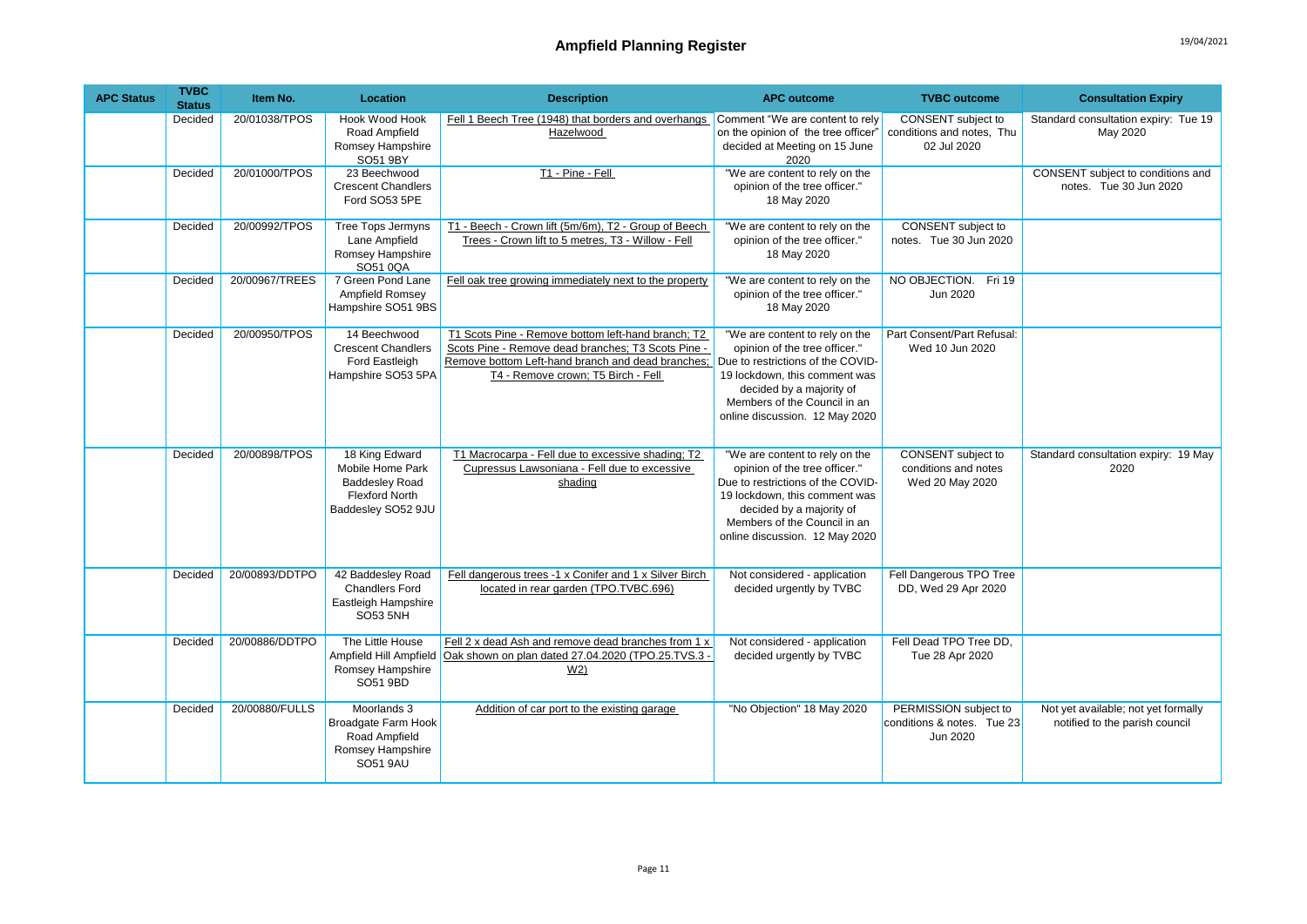| <b>APC Status</b> | <b>TVBC</b><br><b>Status</b> | Item No.       | Location                                                                                                   | <b>Description</b>                                                                                                                                                                                  | <b>APC outcome</b>                                                                                                                                                                                                                  | <b>TVBC</b> outcome                                                  | <b>Consultation Expiry</b>                                            |
|-------------------|------------------------------|----------------|------------------------------------------------------------------------------------------------------------|-----------------------------------------------------------------------------------------------------------------------------------------------------------------------------------------------------|-------------------------------------------------------------------------------------------------------------------------------------------------------------------------------------------------------------------------------------|----------------------------------------------------------------------|-----------------------------------------------------------------------|
|                   | Decided                      | 20/01038/TPOS  | Hook Wood Hook<br>Road Ampfield<br>Romsey Hampshire<br>SO51 9BY                                            | Fell 1 Beech Tree (1948) that borders and overhangs Comment "We are content to rely<br>Hazelwood                                                                                                    | on the opinion of the tree officer"<br>decided at Meeting on 15 June<br>2020                                                                                                                                                        | CONSENT subject to<br>conditions and notes, Thu<br>02 Jul 2020       | Standard consultation expiry: Tue 19<br>May 2020                      |
|                   | Decided                      | 20/01000/TPOS  | 23 Beechwood<br><b>Crescent Chandlers</b><br>Ford SO53 5PE                                                 | T1 - Pine - Fell                                                                                                                                                                                    | "We are content to rely on the<br>opinion of the tree officer."<br>18 May 2020                                                                                                                                                      |                                                                      | CONSENT subject to conditions and<br>notes. Tue 30 Jun 2020           |
|                   | Decided                      | 20/00992/TPOS  | <b>Tree Tops Jermyns</b><br>Lane Ampfield<br>Romsey Hampshire<br>SO51 0QA                                  | T1 - Beech - Crown lift (5m/6m), T2 - Group of Beech<br>Trees - Crown lift to 5 metres, T3 - Willow - Fell                                                                                          | "We are content to rely on the<br>opinion of the tree officer."<br>18 May 2020                                                                                                                                                      | <b>CONSENT</b> subject to<br>notes. Tue 30 Jun 2020                  |                                                                       |
|                   | Decided                      | 20/00967/TREES | 7 Green Pond Lane<br>Ampfield Romsey<br>Hampshire SO51 9BS                                                 | Fell oak tree growing immediately next to the property                                                                                                                                              | "We are content to rely on the<br>opinion of the tree officer."<br>18 May 2020                                                                                                                                                      | NO OBJECTION. Fri 19<br>Jun 2020                                     |                                                                       |
|                   | Decided                      | 20/00950/TPOS  | 14 Beechwood<br><b>Crescent Chandlers</b><br>Ford Eastleigh<br>Hampshire SO53 5PA                          | T1 Scots Pine - Remove bottom left-hand branch; T2<br>Scots Pine - Remove dead branches; T3 Scots Pine -<br>Remove bottom Left-hand branch and dead branches;<br>T4 - Remove crown; T5 Birch - Fell | "We are content to rely on the<br>opinion of the tree officer."<br>Due to restrictions of the COVID-<br>19 lockdown, this comment was<br>decided by a majority of<br>Members of the Council in an<br>online discussion. 12 May 2020 | Part Consent/Part Refusal:<br>Wed 10 Jun 2020                        |                                                                       |
|                   | Decided                      | 20/00898/TPOS  | 18 King Edward<br>Mobile Home Park<br><b>Baddesley Road</b><br><b>Flexford North</b><br>Baddesley SO52 9JU | T1 Macrocarpa - Fell due to excessive shading; T2<br>Cupressus Lawsoniana - Fell due to excessive<br>shading                                                                                        | "We are content to rely on the<br>opinion of the tree officer."<br>Due to restrictions of the COVID-<br>19 lockdown, this comment was<br>decided by a majority of<br>Members of the Council in an<br>online discussion. 12 May 2020 | <b>CONSENT</b> subject to<br>conditions and notes<br>Wed 20 May 2020 | Standard consultation expiry: 19 May<br>2020                          |
|                   | Decided                      | 20/00893/DDTPO | 42 Baddesley Road<br><b>Chandlers Ford</b><br>Eastleigh Hampshire<br><b>SO53 5NH</b>                       | Fell dangerous trees -1 x Conifer and 1 x Silver Birch<br>located in rear garden (TPO.TVBC.696)                                                                                                     | Not considered - application<br>decided urgently by TVBC                                                                                                                                                                            | Fell Dangerous TPO Tree<br>DD, Wed 29 Apr 2020                       |                                                                       |
|                   | Decided                      | 20/00886/DDTPO | The Little House<br>Ampfield Hill Ampfield<br>Romsey Hampshire<br>SO51 9BD                                 | Fell 2 x dead Ash and remove dead branches from 1 x<br>Oak shown on plan dated 27.04.2020 (TPO.25.TVS.3 -<br>W <sub>2</sub>                                                                         | Not considered - application<br>decided urgently by TVBC                                                                                                                                                                            | Fell Dead TPO Tree DD,<br>Tue 28 Apr 2020                            |                                                                       |
|                   | Decided                      | 20/00880/FULLS | Moorlands 3<br>Broadgate Farm Hook<br>Road Ampfield<br>Romsey Hampshire<br><b>SO51 9AU</b>                 | Addition of car port to the existing garage                                                                                                                                                         | "No Objection" 18 May 2020                                                                                                                                                                                                          | PERMISSION subject to<br>conditions & notes. Tue 23<br>Jun 2020      | Not yet available; not yet formally<br>notified to the parish council |